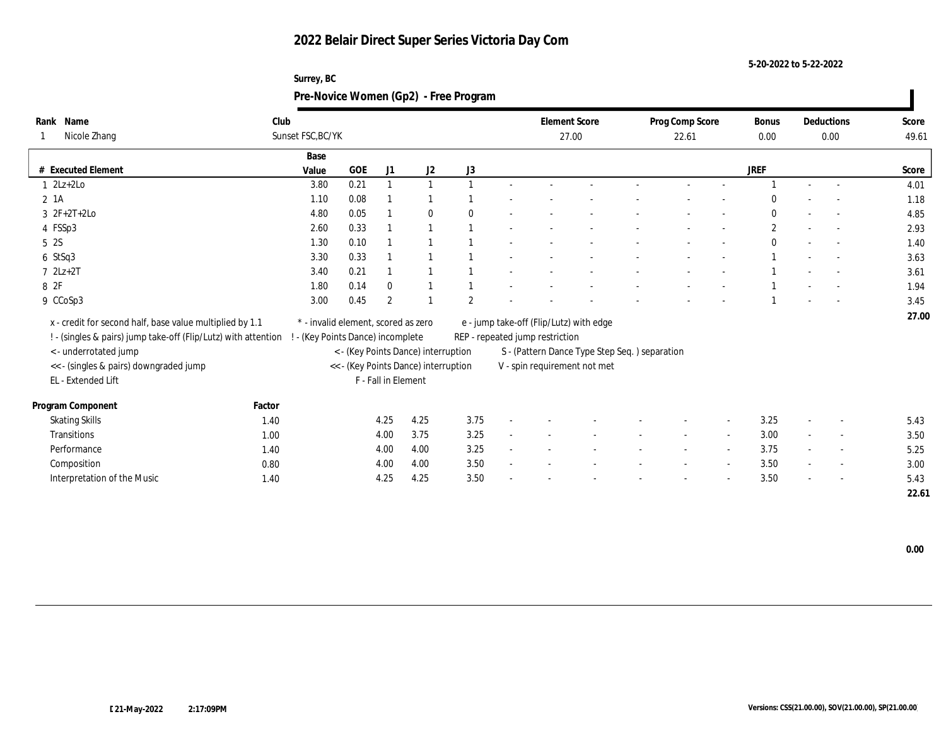| Surrey, BC                            |
|---------------------------------------|
| Pre-Novice Women (Gp2) - Free Program |

| Rank Name                                                      | Club   |                                     |      |                     |                                      |                |                                 | <b>Element Score</b>                          | Prog Comp Score | <b>Bonus</b> |      | Deductions               | Score |
|----------------------------------------------------------------|--------|-------------------------------------|------|---------------------|--------------------------------------|----------------|---------------------------------|-----------------------------------------------|-----------------|--------------|------|--------------------------|-------|
| Nicole Zhang                                                   |        | Sunset FSC, BC/YK                   |      |                     |                                      |                |                                 | 27.00                                         | 22.61           | 0.00         | 0.00 |                          | 49.61 |
|                                                                |        | Base                                |      |                     |                                      |                |                                 |                                               |                 |              |      |                          |       |
| # Executed Element                                             |        | Value                               | GOE  | J1                  | J2                                   | J3             |                                 |                                               |                 | JREF         |      |                          | Score |
| $1 \quad 2Lz+2Lo$                                              |        | 3.80                                | 0.21 |                     |                                      |                |                                 |                                               |                 |              |      |                          | 4.01  |
| 2 1A                                                           |        | 1.10                                | 0.08 |                     |                                      |                |                                 |                                               |                 | $\theta$     |      |                          | 1.18  |
| $3 \t2F+2T+2Lo$                                                |        | 4.80                                | 0.05 |                     | $\mathbf{0}$                         | $\Omega$       |                                 |                                               |                 | $\mathbf{0}$ |      |                          | 4.85  |
| 4 FSSp3                                                        |        | 2.60                                | 0.33 |                     |                                      |                |                                 |                                               |                 | $\mathbf{2}$ |      |                          | 2.93  |
| 5 2S                                                           |        | 1.30                                | 0.10 |                     |                                      |                |                                 |                                               |                 | $\mathbf{0}$ |      | $\sim$                   | 1.40  |
| $6$ StSq3                                                      |        | 3.30                                | 0.33 |                     |                                      |                |                                 |                                               |                 |              |      |                          | 3.63  |
| $7 2Lz+2T$                                                     |        | 3.40                                | 0.21 |                     |                                      |                |                                 |                                               |                 |              |      |                          | 3.61  |
| 8 2F                                                           |        | 1.80                                | 0.14 | $\theta$            |                                      |                |                                 |                                               |                 |              |      |                          | 1.94  |
| 9 CCoSp3                                                       |        | 3.00                                | 0.45 | $\overline{2}$      |                                      | $\overline{2}$ |                                 |                                               |                 |              |      |                          | 3.45  |
| x - credit for second half, base value multiplied by 1.1       |        | * - invalid element, scored as zero |      |                     |                                      |                |                                 | e - jump take-off (Flip/Lutz) with edge       |                 |              |      |                          | 27.00 |
|                                                                |        |                                     |      |                     |                                      |                |                                 |                                               |                 |              |      |                          |       |
| ! - (singles & pairs) jump take-off (Flip/Lutz) with attention |        | ! - (Key Points Dance) incomplete   |      |                     |                                      |                | REP - repeated jump restriction |                                               |                 |              |      |                          |       |
| <- underrotated jump                                           |        |                                     |      |                     | < - (Key Points Dance) interruption  |                |                                 | S - (Pattern Dance Type Step Seq.) separation |                 |              |      |                          |       |
| << - (singles & pairs) downgraded jump                         |        |                                     |      |                     | << - (Key Points Dance) interruption |                |                                 | V - spin requirement not met                  |                 |              |      |                          |       |
| EL - Extended Lift                                             |        |                                     |      | F - Fall in Element |                                      |                |                                 |                                               |                 |              |      |                          |       |
| Program Component                                              | Factor |                                     |      |                     |                                      |                |                                 |                                               |                 |              |      |                          |       |
| <b>Skating Skills</b>                                          | 1.40   |                                     |      | 4.25                | 4.25                                 | 3.75           |                                 |                                               |                 | 3.25         |      | $\sim$                   | 5.43  |
| Transitions                                                    | 1.00   |                                     |      | 4.00                | 3.75                                 | 3.25           |                                 |                                               |                 | 3.00         |      | $\overline{\phantom{a}}$ | 3.50  |
| Performance                                                    | 1.40   |                                     |      | 4.00                | 4.00                                 | 3.25           |                                 |                                               |                 | 3.75         |      | $\sim$                   | 5.25  |
| Composition                                                    | 0.80   |                                     |      | 4.00                | 4.00                                 | 3.50           |                                 |                                               |                 | 3.50         |      | $\sim$                   | 3.00  |
| Interpretation of the Music                                    | 1.40   |                                     |      | 4.25                | 4.25                                 | 3.50           |                                 |                                               |                 | 3.50         |      |                          | 5.43  |
|                                                                |        |                                     |      |                     |                                      |                |                                 |                                               |                 |              |      |                          | 22.61 |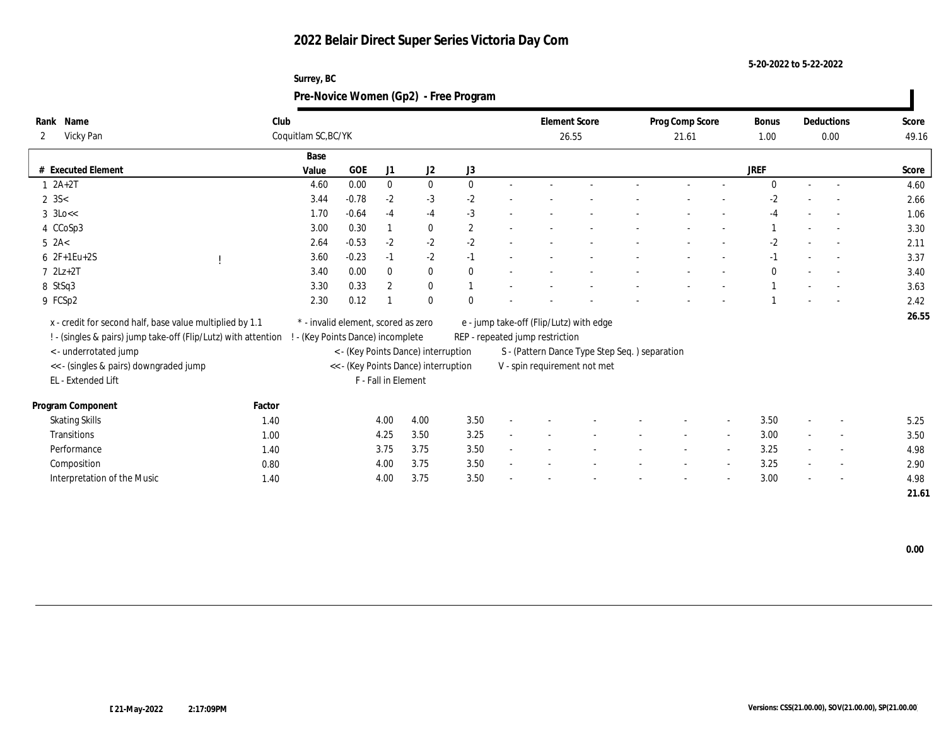**5-20-2022 to 5-22-2022**

| Name<br>Rank                |                                                                | Club                              |                                     |                     |                                                                             |              |                                 | <b>Element Score</b>                                                           | Prog Comp Score |                          | Bonus        | Deductions               | Score |
|-----------------------------|----------------------------------------------------------------|-----------------------------------|-------------------------------------|---------------------|-----------------------------------------------------------------------------|--------------|---------------------------------|--------------------------------------------------------------------------------|-----------------|--------------------------|--------------|--------------------------|-------|
| Vicky Pan<br>2              |                                                                | Coquitlam SC, BC/YK               |                                     |                     |                                                                             |              |                                 | 26.55                                                                          | 21.61           |                          | 1.00         | 0.00                     | 49.16 |
|                             |                                                                | Base                              |                                     |                     |                                                                             |              |                                 |                                                                                |                 |                          |              |                          |       |
| # Executed Element          |                                                                | Value                             | <b>GOE</b>                          | J1                  | J2                                                                          | J3           |                                 |                                                                                |                 |                          | <b>JREF</b>  |                          | Score |
| $1 \ 2A+2T$                 |                                                                | 4.60                              | 0.00                                | $\mathbf{0}$        | $\bf{0}$                                                                    | $\mathbf{0}$ |                                 |                                                                                |                 |                          | $\Omega$     | $\sim$                   | 4.60  |
| $2 \, 3S <$                 |                                                                | 3.44                              | $-0.78$                             | $-2$                | $-3$                                                                        | $-2$         |                                 |                                                                                |                 |                          | $-2$         |                          | 2.66  |
| $3 \text{ 3Lo} <$           |                                                                | 1.70                              | $-0.64$                             | $-4$                | $-4$                                                                        | $-3$         |                                 |                                                                                |                 |                          | $-4$         |                          | 1.06  |
| 4 CCoSp3                    |                                                                | 3.00                              | 0.30                                |                     | $\bf{0}$                                                                    | $\mathbf{2}$ |                                 |                                                                                |                 |                          |              |                          | 3.30  |
| $5$ 2A<                     |                                                                | 2.64                              | $-0.53$                             | $-2$                | $-2$                                                                        | $-2$         |                                 |                                                                                |                 |                          | $-2$         | $\sim$                   | 2.11  |
| $62F+1Eu+2S$                |                                                                | 3.60                              | $-0.23$                             | $-1$                | $-2$                                                                        | $-1$         |                                 |                                                                                |                 |                          | $-1$         | $\overline{\phantom{a}}$ | 3.37  |
| $7$ $2Lz+2T$                |                                                                | 3.40                              | 0.00                                | $\bf{0}$            | $\bf{0}$                                                                    | $\mathbf{0}$ |                                 |                                                                                |                 |                          | $\mathbf{0}$ |                          | 3.40  |
| 8 StSq3                     |                                                                | 3.30                              | 0.33                                | $\overline{2}$      | $\bf{0}$                                                                    |              |                                 |                                                                                |                 |                          |              | $\overline{a}$           | 3.63  |
| 9 FCSp2                     |                                                                | 2.30                              | 0.12                                |                     | $\bf{0}$                                                                    | $\mathbf{0}$ |                                 |                                                                                |                 |                          |              |                          | 2.42  |
|                             | x - credit for second half, base value multiplied by 1.1       |                                   | * - invalid element, scored as zero |                     |                                                                             |              |                                 | e - jump take-off (Flip/Lutz) with edge                                        |                 |                          |              |                          | 26.55 |
|                             | ! - (singles & pairs) jump take-off (Flip/Lutz) with attention | ! - (Key Points Dance) incomplete |                                     |                     |                                                                             |              | REP - repeated jump restriction |                                                                                |                 |                          |              |                          |       |
| <- underrotated jump        |                                                                |                                   |                                     |                     |                                                                             |              |                                 |                                                                                |                 |                          |              |                          |       |
|                             | <<- (singles & pairs) downgraded jump                          |                                   |                                     |                     | < - (Key Points Dance) interruption<br><< - (Key Points Dance) interruption |              |                                 | S - (Pattern Dance Type Step Seq. ) separation<br>V - spin requirement not met |                 |                          |              |                          |       |
| EL - Extended Lift          |                                                                |                                   |                                     | F - Fall in Element |                                                                             |              |                                 |                                                                                |                 |                          |              |                          |       |
|                             |                                                                |                                   |                                     |                     |                                                                             |              |                                 |                                                                                |                 |                          |              |                          |       |
| Program Component           | Factor                                                         |                                   |                                     |                     |                                                                             |              |                                 |                                                                                |                 |                          |              |                          |       |
| <b>Skating Skills</b>       | 1.40                                                           |                                   |                                     | 4.00                | 4.00                                                                        | 3.50         |                                 |                                                                                |                 | $\overline{\phantom{a}}$ | 3.50         | $\overline{\phantom{a}}$ | 5.25  |
| Transitions                 | 1.00                                                           |                                   |                                     | 4.25                | 3.50                                                                        | 3.25         |                                 |                                                                                |                 |                          | 3.00         | $\overline{\phantom{a}}$ | 3.50  |
| Performance                 | 1.40                                                           |                                   |                                     | 3.75                | 3.75                                                                        | 3.50         |                                 |                                                                                |                 |                          | 3.25         | $\overline{\phantom{a}}$ | 4.98  |
| Composition                 | 0.80                                                           |                                   |                                     | 4.00                | 3.75                                                                        | 3.50         |                                 |                                                                                |                 | $\sim$                   | 3.25         | $\sim$                   | 2.90  |
| Interpretation of the Music | 1.40                                                           |                                   |                                     | 4.00                | 3.75                                                                        | 3.50         |                                 |                                                                                |                 |                          | 3.00         | $\overline{\phantom{a}}$ | 4.98  |
|                             |                                                                |                                   |                                     |                     |                                                                             |              |                                 |                                                                                |                 |                          |              |                          | 21.61 |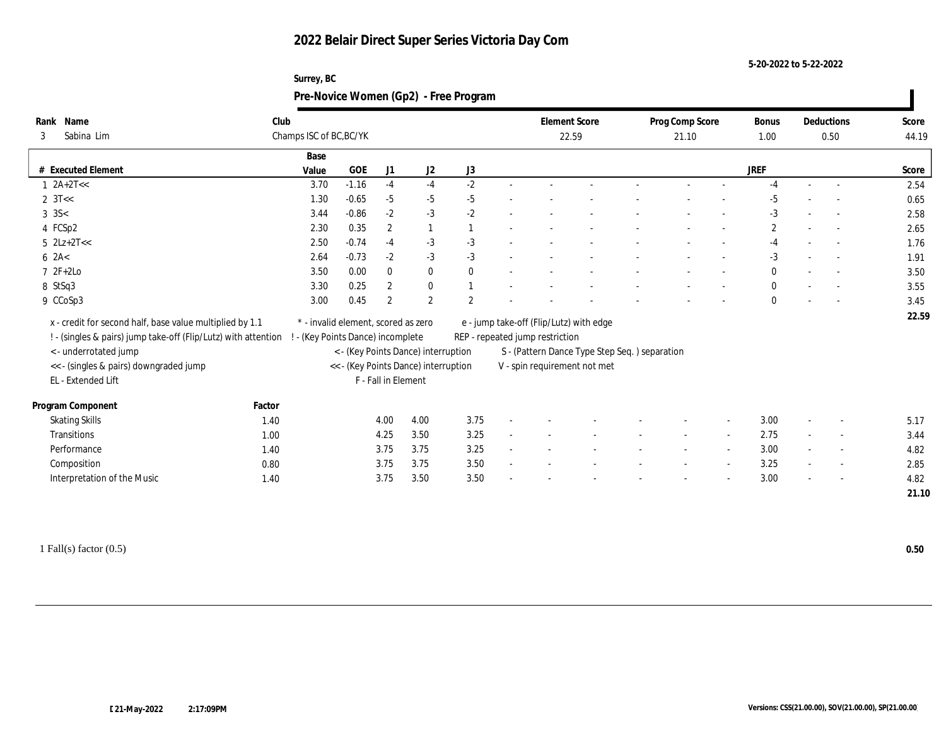| Surrey, BC                            |
|---------------------------------------|
| Pre-Novice Women (Gp2) - Free Program |

|   | Rank Name                                                      | Club                    |                                     |                     |                                      |                |                                 | <b>Element Score</b>                          | Prog Comp Score | <b>Bonus</b>   | Deductions               | Score |
|---|----------------------------------------------------------------|-------------------------|-------------------------------------|---------------------|--------------------------------------|----------------|---------------------------------|-----------------------------------------------|-----------------|----------------|--------------------------|-------|
| 3 | Sabina Lim                                                     | Champs ISC of BC, BC/YK |                                     |                     |                                      |                |                                 | 22.59                                         | 21.10           | 1.00           | 0.50                     | 44.19 |
|   |                                                                | Base                    |                                     |                     |                                      |                |                                 |                                               |                 |                |                          |       |
|   | # Executed Element                                             | Value                   | GOE                                 | J1                  | J <sub>2</sub>                       | J3             |                                 |                                               |                 | JREF           |                          | Score |
|   | $1 \ \ 2A+2T<<$                                                | 3.70                    | $-1.16$                             | $-4$                | $-4$                                 | $-2$           |                                 |                                               |                 | $-4$           |                          | 2.54  |
|   | 2 $3T <$                                                       | 1.30                    | $-0.65$                             | $-5$                | $-5$                                 | $-5$           |                                 |                                               |                 | $-5$           |                          | 0.65  |
|   | $3 \text{ } 3S <$                                              | 3.44                    | $-0.86$                             | $-2$                | $-3$                                 | $-2$           |                                 |                                               |                 | $-3$           |                          | 2.58  |
|   | 4 FCSp2                                                        | 2.30                    | 0.35                                | $\boldsymbol{2}$    |                                      |                |                                 |                                               |                 | $\overline{c}$ |                          | 2.65  |
|   | $5$ $2Lz+2T<<$                                                 | 2.50                    | $-0.74$                             | $-4$                | $-3$                                 | $-3$           |                                 |                                               |                 | $-4$           | $\sim$                   | 1.76  |
|   | $6 \ \text{2A}$                                                | 2.64                    | $-0.73$                             | $-2$                | $-3$                                 | $-3$           |                                 |                                               |                 | $-3$           |                          | 1.91  |
|   | 7 2F+2Lo                                                       | 3.50                    | 0.00                                | $\mathbf{0}$        | $\bf{0}$                             | $\mathbf{0}$   |                                 |                                               |                 | $\mathbf{0}$   |                          | 3.50  |
|   | 8 StSq3                                                        | 3.30                    | 0.25                                | $\mathbf{2}$        | $\bf{0}$                             |                |                                 |                                               |                 | $\bf{0}$       |                          | 3.55  |
|   | 9 CCoSp3                                                       | 3.00                    | 0.45                                | $\overline{2}$      | 2                                    | $\overline{2}$ |                                 |                                               |                 | $\mathbf{0}$   | $\sim$                   | 3.45  |
|   | x - credit for second half, base value multiplied by 1.1       |                         | * - invalid element, scored as zero |                     |                                      |                |                                 | e - jump take-off (Flip/Lutz) with edge       |                 |                |                          | 22.59 |
|   | ! - (singles & pairs) jump take-off (Flip/Lutz) with attention |                         | ! - (Key Points Dance) incomplete   |                     |                                      |                | REP - repeated jump restriction |                                               |                 |                |                          |       |
|   | < - underrotated jump                                          |                         |                                     |                     | < - (Key Points Dance) interruption  |                |                                 | S - (Pattern Dance Type Step Seq.) separation |                 |                |                          |       |
|   | << - (singles & pairs) downgraded jump                         |                         |                                     |                     | << - (Key Points Dance) interruption |                |                                 | V - spin requirement not met                  |                 |                |                          |       |
|   | EL - Extended Lift                                             |                         |                                     | F - Fall in Element |                                      |                |                                 |                                               |                 |                |                          |       |
|   |                                                                |                         |                                     |                     |                                      |                |                                 |                                               |                 |                |                          |       |
|   | Program Component                                              | Factor                  |                                     |                     |                                      |                |                                 |                                               |                 |                |                          |       |
|   | <b>Skating Skills</b>                                          | 1.40                    |                                     | 4.00                | 4.00                                 | 3.75           |                                 |                                               |                 | 3.00           | $\overline{\phantom{a}}$ | 5.17  |
|   | Transitions                                                    | 1.00                    |                                     | 4.25                | 3.50                                 | 3.25           |                                 |                                               |                 | 2.75           | $\overline{\phantom{a}}$ | 3.44  |
|   | Performance                                                    | 1.40                    |                                     | 3.75                | 3.75                                 | 3.25           |                                 |                                               |                 | 3.00           | $\sim$                   | 4.82  |
|   | Composition                                                    | 0.80                    |                                     | 3.75                | 3.75                                 | 3.50           |                                 |                                               |                 | 3.25           | $\overline{\phantom{a}}$ | 2.85  |
|   | Interpretation of the Music                                    | 1.40                    |                                     | 3.75                | 3.50                                 | 3.50           |                                 |                                               |                 | 3.00           |                          | 4.82  |
|   |                                                                |                         |                                     |                     |                                      |                |                                 |                                               |                 |                |                          | 21.10 |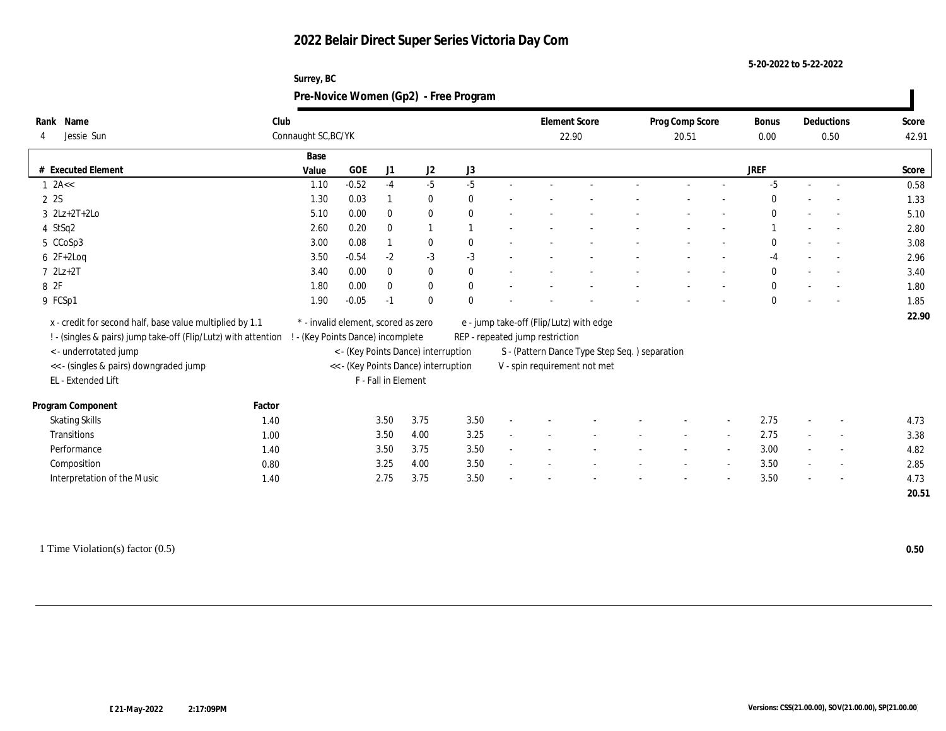**5-20-2022 to 5-22-2022**

| Surrey, BC                            |
|---------------------------------------|
| Pre-Novice Women (Gp2) - Free Program |

| Rank Name                                                      | Club   |                                     |         |                     |                                      |              |                                 | <b>Element Score</b>                          | Prog Comp Score | <b>Bonus</b> |      | Deductions               | Score |
|----------------------------------------------------------------|--------|-------------------------------------|---------|---------------------|--------------------------------------|--------------|---------------------------------|-----------------------------------------------|-----------------|--------------|------|--------------------------|-------|
| Jessie Sun                                                     |        | Connaught SC, BC/YK                 |         |                     |                                      |              |                                 | 22.90                                         | 20.51           | 0.00         | 0.50 |                          | 42.91 |
|                                                                |        | Base                                |         |                     |                                      |              |                                 |                                               |                 |              |      |                          |       |
| # Executed Element                                             |        | Value                               | GOE     | J1                  | J2                                   | J3           |                                 |                                               |                 | JREF         |      |                          | Score |
| $1$ 2A <<                                                      |        | 1.10                                | $-0.52$ | $-4$                | $-5$                                 | $-5$         |                                 |                                               |                 | $-5$         |      |                          | 0.58  |
| 2 2S                                                           |        | 1.30                                | 0.03    |                     | $\bf{0}$                             | $\mathbf{0}$ |                                 |                                               |                 | $\bf{0}$     |      |                          | 1.33  |
| $3 \quad 2Lz+2T+2Lo$                                           |        | 5.10                                | 0.00    | $\mathbf{0}$        | $\bf{0}$                             | $\theta$     |                                 |                                               |                 | $\mathbf{0}$ |      | $\sim$                   | 5.10  |
| 4 StSq2                                                        |        | 2.60                                | 0.20    | $\mathbf{0}$        |                                      |              |                                 |                                               |                 |              |      |                          | 2.80  |
| 5 CCoSp3                                                       |        | 3.00                                | 0.08    |                     | $\bf{0}$                             | $\theta$     |                                 |                                               |                 | $\mathbf{0}$ |      | $\sim$                   | 3.08  |
| $62F+2Log$                                                     |        | 3.50                                | $-0.54$ | $-2$                | $-3$                                 | $-3$         |                                 |                                               |                 | -4           |      |                          | 2.96  |
| $7 2Lz+2T$                                                     |        | 3.40                                | 0.00    | $\mathbf{0}$        | $\bf{0}$                             | $\mathbf{0}$ |                                 |                                               |                 | $\mathbf{0}$ |      |                          | 3.40  |
| 8 2F                                                           |        | 1.80                                | 0.00    | $\bf{0}$            | $\bf{0}$                             | $\mathbf{0}$ |                                 |                                               |                 | $\mathbf{0}$ |      |                          | 1.80  |
| 9 FCSp1                                                        |        | 1.90                                | $-0.05$ | $-1$                | $\mathbf{0}$                         | $\mathbf{0}$ |                                 |                                               |                 | $\mathbf{0}$ |      | $\sim$                   | 1.85  |
| x - credit for second half, base value multiplied by 1.1       |        | * - invalid element, scored as zero |         |                     |                                      |              |                                 | e - jump take-off (Flip/Lutz) with edge       |                 |              |      |                          | 22.90 |
| ! - (singles & pairs) jump take-off (Flip/Lutz) with attention |        | ! - (Key Points Dance) incomplete   |         |                     |                                      |              | REP - repeated jump restriction |                                               |                 |              |      |                          |       |
| <- underrotated jump                                           |        |                                     |         |                     | < - (Key Points Dance) interruption  |              |                                 | S - (Pattern Dance Type Step Seq.) separation |                 |              |      |                          |       |
| << - (singles & pairs) downgraded jump                         |        |                                     |         |                     | << - (Key Points Dance) interruption |              |                                 | V - spin requirement not met                  |                 |              |      |                          |       |
| EL - Extended Lift                                             |        |                                     |         | F - Fall in Element |                                      |              |                                 |                                               |                 |              |      |                          |       |
|                                                                |        |                                     |         |                     |                                      |              |                                 |                                               |                 |              |      |                          |       |
| Program Component                                              | Factor |                                     |         |                     |                                      |              |                                 |                                               |                 |              |      |                          |       |
| <b>Skating Skills</b>                                          | 1.40   |                                     |         | 3.50                | 3.75                                 | 3.50         |                                 |                                               |                 | 2.75         |      | $\sim$                   | 4.73  |
| Transitions                                                    | 1.00   |                                     |         | 3.50                | 4.00                                 | 3.25         |                                 |                                               |                 | 2.75         |      | $\overline{\phantom{a}}$ | 3.38  |
| Performance                                                    | 1.40   |                                     |         | 3.50                | 3.75                                 | 3.50         |                                 |                                               |                 | 3.00         |      | $\sim$                   | 4.82  |
| Composition                                                    | 0.80   |                                     |         | 3.25                | 4.00                                 | 3.50         |                                 |                                               |                 | 3.50         |      | $\sim$                   | 2.85  |
| Interpretation of the Music                                    | 1.40   |                                     |         | 2.75                | 3.75                                 | 3.50         |                                 |                                               |                 | 3.50         |      |                          | 4.73  |
|                                                                |        |                                     |         |                     |                                      |              |                                 |                                               |                 |              |      |                          | 20.51 |

1 Time Violation(s) factor (0.5) **0.50**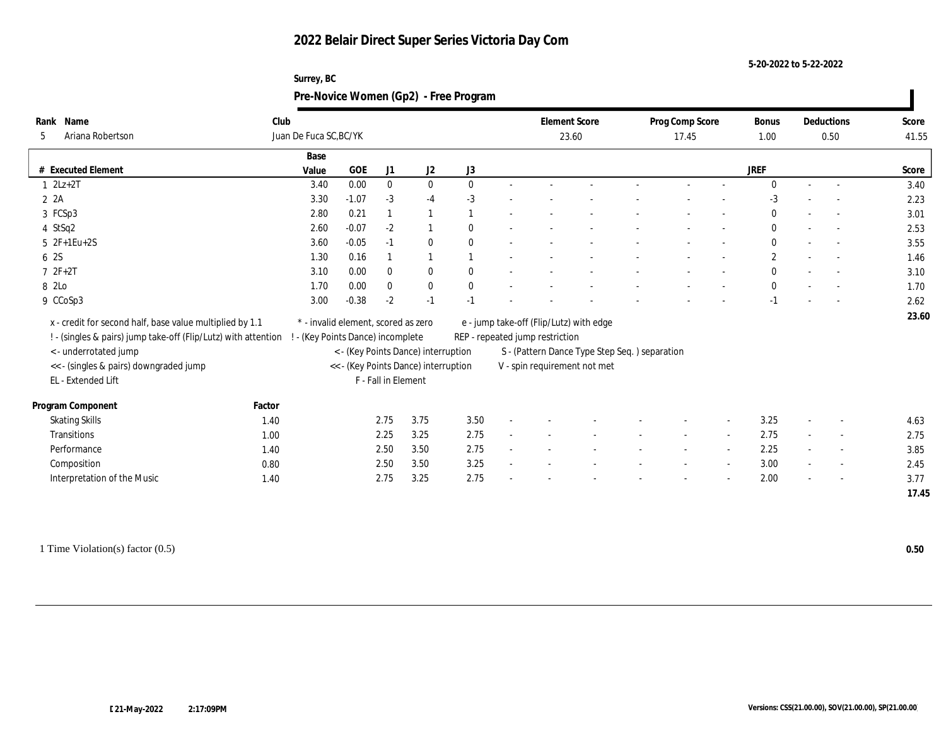#### **5-20-2022 to 5-22-2022**

#### **Surrey, BC Pre-Novice Women (Gp2) - Free Program**

| Rank Name                                                      | Club   |                                     |            |                     |                                      |              | <b>Element Score</b>            |                                               | Prog Comp Score |                          | <b>Bonus</b>   | Deductions               | Score |
|----------------------------------------------------------------|--------|-------------------------------------|------------|---------------------|--------------------------------------|--------------|---------------------------------|-----------------------------------------------|-----------------|--------------------------|----------------|--------------------------|-------|
| Ariana Robertson<br>5                                          |        | Juan De Fuca SC, BC/YK              |            |                     |                                      |              |                                 | 23.60                                         | 17.45           |                          | 1.00           | 0.50                     | 41.55 |
|                                                                |        | Base                                |            |                     |                                      |              |                                 |                                               |                 |                          |                |                          |       |
| # Executed Element                                             |        | Value                               | <b>GOE</b> | J1                  | J2                                   | J3           |                                 |                                               |                 |                          | JREF           |                          | Score |
| $1 \quad 2Lz+2T$                                               |        | 3.40                                | 0.00       | $\bf{0}$            | $\bf{0}$                             | $\mathbf{0}$ |                                 |                                               |                 |                          | $\Omega$       | $\overline{\phantom{a}}$ | 3.40  |
| 2A                                                             |        | 3.30                                | $-1.07$    | $-3$                | $-4$                                 | $-3$         |                                 |                                               |                 |                          | $-3$           |                          | 2.23  |
| 3 FCSp3                                                        |        | 2.80                                | 0.21       |                     |                                      |              |                                 |                                               |                 |                          | $\mathbf{0}$   |                          | 3.01  |
| 4 StSq2                                                        |        | 2.60                                | $-0.07$    | $-2$                |                                      | $\mathbf{0}$ |                                 |                                               |                 |                          | $\mathbf{0}$   | $\overline{\phantom{a}}$ | 2.53  |
| $5 \t2F+1Eu+2S$                                                |        | 3.60                                | $-0.05$    | $-1$                | $\bf{0}$                             | $\mathbf{0}$ |                                 |                                               |                 |                          | $\mathbf{0}$   | $\overline{\phantom{a}}$ | 3.55  |
| 6 2S                                                           |        | 1.30                                | 0.16       |                     |                                      |              |                                 |                                               |                 |                          | $\overline{c}$ | $\overline{\phantom{a}}$ | 1.46  |
| $72F+2T$                                                       |        | 3.10                                | 0.00       | $\mathbf{0}$        | $\bf{0}$                             | $\theta$     |                                 |                                               |                 |                          | $\mathbf{0}$   |                          | 3.10  |
| 8 2Lo                                                          |        | 1.70                                | 0.00       | $\bf{0}$            | $\bf{0}$                             | $\mathbf{0}$ |                                 |                                               |                 |                          | $\mathbf{0}$   | $\overline{\phantom{a}}$ | 1.70  |
| 9 CCoSp3                                                       |        | 3.00                                | $-0.38$    | $-2$                | $-1$                                 | $-1$         |                                 |                                               |                 |                          | $-1$           |                          | 2.62  |
| x - credit for second half, base value multiplied by 1.1       |        | * - invalid element, scored as zero |            |                     |                                      |              |                                 | e - jump take-off (Flip/Lutz) with edge       |                 |                          |                |                          | 23.60 |
| ! - (singles & pairs) jump take-off (Flip/Lutz) with attention |        | ! - (Key Points Dance) incomplete   |            |                     |                                      |              | REP - repeated jump restriction |                                               |                 |                          |                |                          |       |
| <- underrotated jump                                           |        |                                     |            |                     | < - (Key Points Dance) interruption  |              |                                 | S - (Pattern Dance Type Step Seq.) separation |                 |                          |                |                          |       |
| << - (singles & pairs) downgraded jump                         |        |                                     |            |                     | << - (Key Points Dance) interruption |              |                                 | V - spin requirement not met                  |                 |                          |                |                          |       |
| EL - Extended Lift                                             |        |                                     |            | F - Fall in Element |                                      |              |                                 |                                               |                 |                          |                |                          |       |
|                                                                |        |                                     |            |                     |                                      |              |                                 |                                               |                 |                          |                |                          |       |
| Program Component                                              | Factor |                                     |            |                     |                                      |              |                                 |                                               |                 |                          |                |                          |       |
| <b>Skating Skills</b>                                          | 1.40   |                                     |            | 2.75                | 3.75                                 | 3.50         |                                 |                                               |                 | $\overline{\phantom{a}}$ | 3.25           | $\overline{\phantom{a}}$ | 4.63  |
| Transitions                                                    | 1.00   |                                     |            | 2.25                | 3.25                                 | 2.75         |                                 |                                               |                 |                          | 2.75           | $\overline{\phantom{a}}$ | 2.75  |
| Performance                                                    | 1.40   |                                     |            | 2.50                | 3.50                                 | 2.75         |                                 |                                               |                 |                          | 2.25           | $\overline{\phantom{a}}$ | 3.85  |
| Composition                                                    | 0.80   |                                     |            | 2.50                | 3.50                                 | 3.25         |                                 |                                               |                 | $\overline{\phantom{a}}$ | 3.00           | $\overline{\phantom{a}}$ | 2.45  |
| Interpretation of the Music                                    | 1.40   |                                     |            | 2.75                | 3.25                                 | 2.75         |                                 |                                               |                 |                          | 2.00           |                          | 3.77  |
|                                                                |        |                                     |            |                     |                                      |              |                                 |                                               |                 |                          |                |                          | 17.45 |

1 Time Violation(s) factor (0.5) **0.50**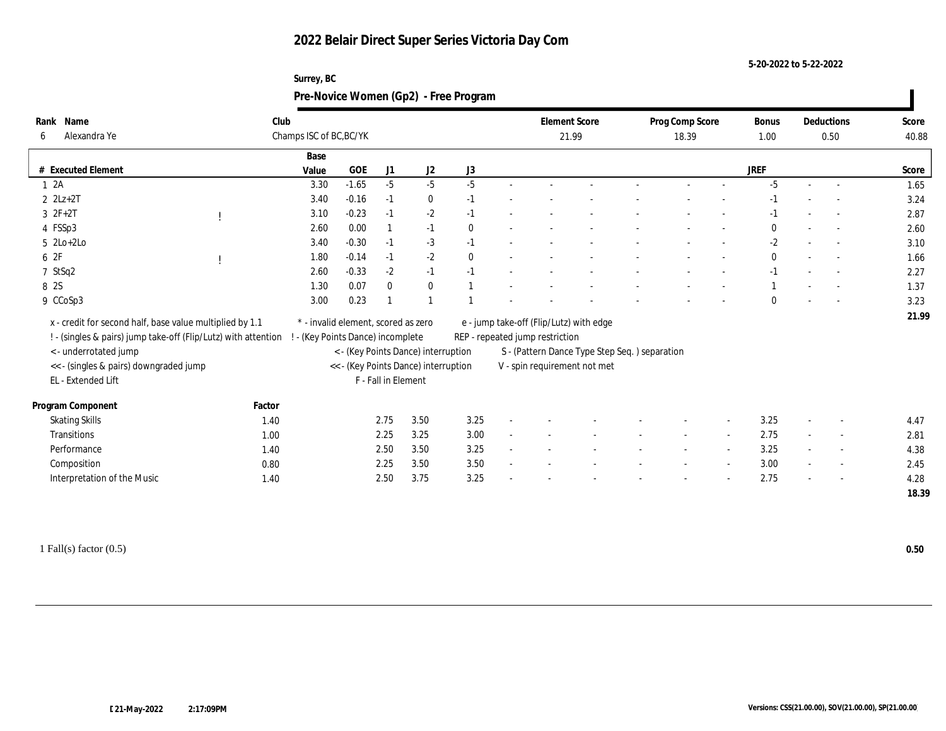| Surrey, BC                            |
|---------------------------------------|
| Pre-Novice Women (Gp2) - Free Program |

| Rank Name                                                      | Club                    |                                      |                     |                                     |              |  |                                 | <b>Element Score</b>                          | Prog Comp Score |                          | <b>Bonus</b> |      | Deductions               | Score |
|----------------------------------------------------------------|-------------------------|--------------------------------------|---------------------|-------------------------------------|--------------|--|---------------------------------|-----------------------------------------------|-----------------|--------------------------|--------------|------|--------------------------|-------|
| Alexandra Ye<br>6                                              | Champs ISC of BC, BC/YK |                                      |                     |                                     |              |  |                                 | 21.99                                         | 18.39           |                          | 1.00         | 0.50 |                          | 40.88 |
|                                                                | Base                    |                                      |                     |                                     |              |  |                                 |                                               |                 |                          |              |      |                          |       |
| # Executed Element                                             | Value                   | GOE                                  | J1                  | J2                                  | J3           |  |                                 |                                               |                 |                          | JREF         |      |                          | Score |
| 12A                                                            | 3.30                    | $-1.65$                              | $-5$                | $-5$                                | $-5$         |  |                                 |                                               |                 |                          | $-5$         |      | $\sim$                   | 1.65  |
| $2$ $2Lz+2T$                                                   | 3.40                    | $-0.16$                              | $-1$                | $\bf{0}$                            | $-1$         |  |                                 |                                               |                 |                          | -1           |      |                          | 3.24  |
| $3 \t2F+2T$                                                    | 3.10                    | $-0.23$                              | $-1$                | $-2$                                | $-1$         |  |                                 |                                               |                 |                          | $-1$         |      | $\overline{\phantom{a}}$ | 2.87  |
| 4 FSSp3                                                        | 2.60                    | 0.00                                 |                     | $-1$                                | $\mathbf{0}$ |  |                                 |                                               |                 |                          | $\Omega$     |      |                          | 2.60  |
| $5 \text{ } 2\text{Lo}+2\text{Lo}$                             | 3.40                    | $-0.30$                              | $-1$                | $-3$                                | $-1$         |  |                                 |                                               |                 |                          | $-2$         |      | $\overline{\phantom{a}}$ | 3.10  |
| 6 2F                                                           | 1.80                    | $-0.14$                              | $-1$                | $-2$                                | $\mathbf{0}$ |  |                                 |                                               |                 |                          | $\mathbf{0}$ |      |                          | 1.66  |
| 7 StSq2                                                        | 2.60                    | $-0.33$                              | $-2$                | $-1$                                | $-1$         |  |                                 |                                               |                 |                          | $-1$         |      |                          | 2.27  |
| 8 2S                                                           | 1.30                    | 0.07                                 | $\mathbf{0}$        | $\mathbf{0}$                        |              |  |                                 |                                               |                 |                          |              |      |                          | 1.37  |
| 9 CCoSp3                                                       | 3.00                    | 0.23                                 |                     |                                     |              |  |                                 |                                               |                 |                          | $\Omega$     |      |                          | 3.23  |
| x - credit for second half, base value multiplied by 1.1       |                         | * - invalid element, scored as zero  |                     |                                     |              |  |                                 | e - jump take-off (Flip/Lutz) with edge       |                 |                          |              |      |                          | 21.99 |
|                                                                |                         |                                      |                     |                                     |              |  |                                 |                                               |                 |                          |              |      |                          |       |
| ! - (singles & pairs) jump take-off (Flip/Lutz) with attention |                         | - (Key Points Dance) incomplete      |                     |                                     |              |  | REP - repeated jump restriction |                                               |                 |                          |              |      |                          |       |
| < - underrotated jump                                          |                         | << - (Key Points Dance) interruption |                     | < - (Key Points Dance) interruption |              |  |                                 | S - (Pattern Dance Type Step Seq.) separation |                 |                          |              |      |                          |       |
| << - (singles & pairs) downgraded jump                         |                         |                                      |                     |                                     |              |  |                                 | V - spin requirement not met                  |                 |                          |              |      |                          |       |
| EL - Extended Lift                                             |                         |                                      | F - Fall in Element |                                     |              |  |                                 |                                               |                 |                          |              |      |                          |       |
| Program Component                                              | Factor                  |                                      |                     |                                     |              |  |                                 |                                               |                 |                          |              |      |                          |       |
| <b>Skating Skills</b>                                          | 1.40                    |                                      | 2.75                | 3.50                                | 3.25         |  |                                 |                                               |                 | $\overline{\phantom{a}}$ | 3.25         |      | $\overline{\phantom{a}}$ | 4.47  |
| Transitions                                                    | 1.00                    |                                      | 2.25                | 3.25                                | 3.00         |  |                                 |                                               |                 |                          | 2.75         |      | $\overline{\phantom{a}}$ | 2.81  |
| Performance                                                    | 1.40                    |                                      | 2.50                | 3.50                                | 3.25         |  |                                 |                                               |                 |                          | 3.25         |      | $\overline{\phantom{a}}$ | 4.38  |
| Composition                                                    | 0.80                    |                                      | 2.25                | 3.50                                | 3.50         |  |                                 |                                               |                 | $\overline{\phantom{a}}$ | 3.00         |      | $\sim$                   | 2.45  |
| Interpretation of the Music                                    | 1.40                    |                                      | 2.50                | 3.75                                | 3.25         |  |                                 |                                               |                 |                          | 2.75         |      | $\overline{\phantom{a}}$ | 4.28  |
|                                                                |                         |                                      |                     |                                     |              |  |                                 |                                               |                 |                          |              |      |                          | 18.39 |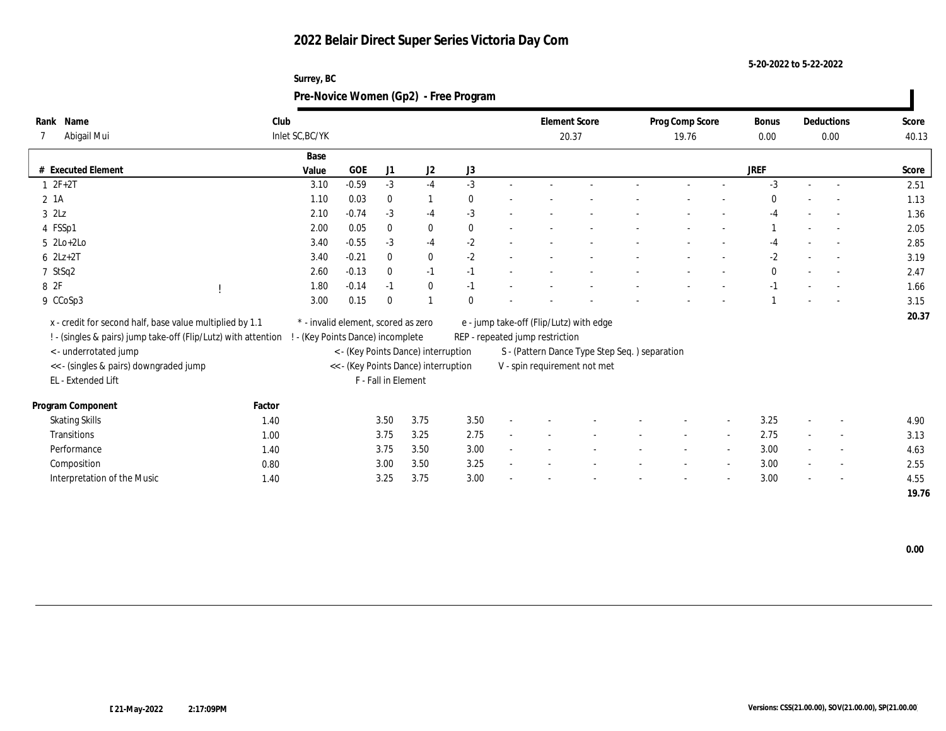| Surrey, BC                            |
|---------------------------------------|
| Pre-Novice Women (Gp2) - Free Program |

| Name<br>Rank                                                   |        | Club                            |                                     |                     |                                      |              |                                 | <b>Element Score</b>                          | Prog Comp Score |        | <b>Bonus</b> | Deductions               | Score |
|----------------------------------------------------------------|--------|---------------------------------|-------------------------------------|---------------------|--------------------------------------|--------------|---------------------------------|-----------------------------------------------|-----------------|--------|--------------|--------------------------|-------|
| Abigail Mui                                                    |        | Inlet SC, BC/YK                 |                                     |                     |                                      |              |                                 | 20.37                                         | 19.76           |        | 0.00         | 0.00                     | 40.13 |
|                                                                |        | Base                            |                                     |                     |                                      |              |                                 |                                               |                 |        |              |                          |       |
| # Executed Element                                             |        | Value                           | GOE                                 | J1                  | J <sub>2</sub>                       | J3           |                                 |                                               |                 |        | JREF         |                          | Score |
| $1 2F+2T$                                                      |        | 3.10                            | $-0.59$                             | $-3$                | $-4$                                 | $-3$         |                                 |                                               |                 |        | $-3$         | $\sim$                   | 2.51  |
| 2 1A                                                           |        | 1.10                            | 0.03                                | $\bf{0}$            | $\mathbf{1}$                         | $\mathbf{0}$ |                                 |                                               |                 |        | $\bf{0}$     |                          | 1.13  |
| $3$ $2\text{L}z$                                               |        | 2.10                            | $-0.74$                             | $-3$                | $-4$                                 | $-3$         |                                 |                                               |                 |        | $-4$         |                          | 1.36  |
| 4 FSSp1                                                        |        | 2.00                            | 0.05                                | $\mathbf{0}$        | $\bf{0}$                             | $\mathbf{0}$ |                                 |                                               |                 |        |              |                          | 2.05  |
| $5 \text{ } 2\text{Lo}+2\text{Lo}$                             |        | 3.40                            | $-0.55$                             | $-3$                | $-4$                                 | $-2$         |                                 |                                               |                 |        | -4           | $\sim$                   | 2.85  |
| $6$ $2Lz+2T$                                                   |        | 3.40                            | $-0.21$                             | $\mathbf{0}$        | $\bf{0}$                             | $-2$         |                                 |                                               |                 |        | $-2$         |                          | 3.19  |
| 7 StSq2                                                        |        | 2.60                            | $-0.13$                             | $\mathbf{0}$        | $-1$                                 | $-1$         |                                 |                                               |                 |        | $\bf{0}$     |                          | 2.47  |
| 8 2F                                                           |        | 1.80                            | $-0.14$                             | $-1$                | $\bf{0}$                             | $-1$         |                                 |                                               |                 |        | -1           |                          | 1.66  |
| 9 CCoSp3                                                       |        | 3.00                            | 0.15                                | $\Omega$            |                                      | $\Omega$     |                                 |                                               |                 |        |              |                          | 3.15  |
|                                                                |        |                                 |                                     |                     |                                      |              |                                 |                                               |                 |        |              |                          | 20.37 |
| x - credit for second half, base value multiplied by 1.1       |        |                                 | * - invalid element, scored as zero |                     |                                      |              |                                 | e - jump take-off (Flip/Lutz) with edge       |                 |        |              |                          |       |
| ! - (singles & pairs) jump take-off (Flip/Lutz) with attention |        | - (Key Points Dance) incomplete |                                     |                     |                                      |              | REP - repeated jump restriction |                                               |                 |        |              |                          |       |
| < - underrotated jump                                          |        |                                 |                                     |                     | < - (Key Points Dance) interruption  |              |                                 | S - (Pattern Dance Type Step Seq.) separation |                 |        |              |                          |       |
| << - (singles & pairs) downgraded jump                         |        |                                 |                                     |                     | << - (Key Points Dance) interruption |              |                                 | V - spin requirement not met                  |                 |        |              |                          |       |
| EL - Extended Lift                                             |        |                                 |                                     | F - Fall in Element |                                      |              |                                 |                                               |                 |        |              |                          |       |
| Program Component                                              | Factor |                                 |                                     |                     |                                      |              |                                 |                                               |                 |        |              |                          |       |
| <b>Skating Skills</b>                                          | 1.40   |                                 |                                     | 3.50                | 3.75                                 | 3.50         |                                 |                                               |                 | $\sim$ | 3.25         | $\overline{\phantom{a}}$ | 4.90  |
| Transitions                                                    | 1.00   |                                 |                                     | 3.75                | 3.25                                 | 2.75         |                                 |                                               |                 |        | 2.75         | $\overline{\phantom{a}}$ | 3.13  |
| Performance                                                    | 1.40   |                                 |                                     | 3.75                | 3.50                                 | 3.00         |                                 |                                               |                 |        | 3.00         | $\sim$                   | 4.63  |
| Composition                                                    | 0.80   |                                 |                                     | 3.00                | 3.50                                 | 3.25         |                                 |                                               |                 |        | 3.00         | $\overline{\phantom{a}}$ | 2.55  |
| Interpretation of the Music                                    | 1.40   |                                 |                                     | 3.25                | 3.75                                 | 3.00         |                                 |                                               |                 |        | 3.00         |                          | 4.55  |
|                                                                |        |                                 |                                     |                     |                                      |              |                                 |                                               |                 |        |              |                          | 19.76 |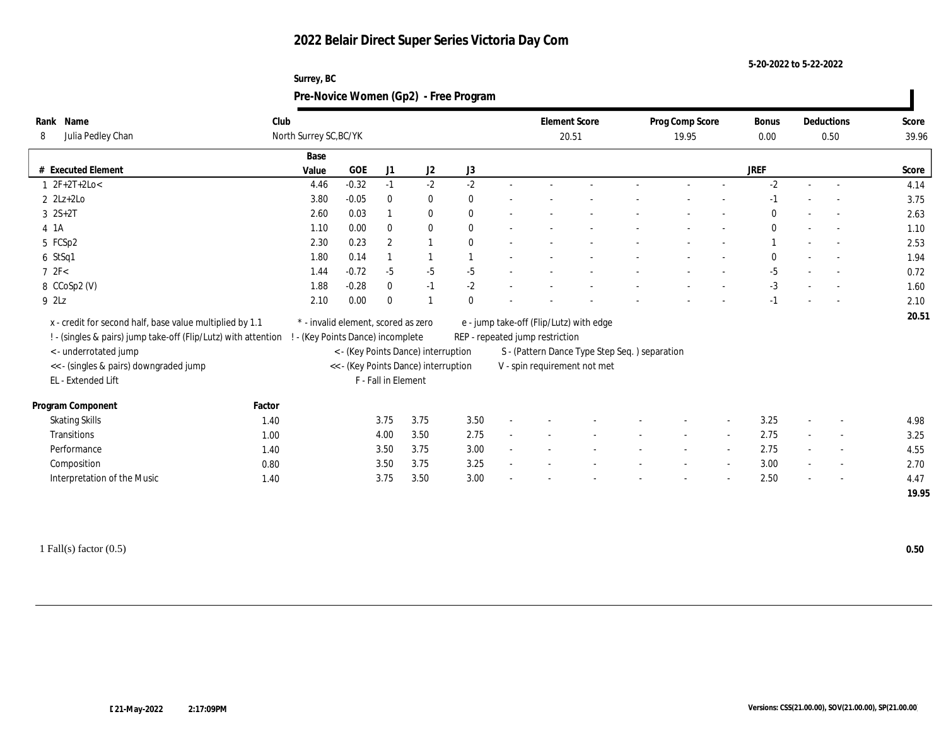#### **5-20-2022 to 5-22-2022**

| Name<br>Rank                                                   | Club   |                                     |            |                     |                                      |              |                                 | <b>Element Score</b>                           | Prog Comp Score |                          | Bonus        | Deductions               | Score |
|----------------------------------------------------------------|--------|-------------------------------------|------------|---------------------|--------------------------------------|--------------|---------------------------------|------------------------------------------------|-----------------|--------------------------|--------------|--------------------------|-------|
| Julia Pedley Chan<br>8                                         |        | North Surrey SC, BC/YK              |            |                     |                                      |              |                                 | 20.51                                          | 19.95           |                          | 0.00         | 0.50                     | 39.96 |
|                                                                |        | Base                                |            |                     |                                      |              |                                 |                                                |                 |                          |              |                          |       |
| # Executed Element                                             |        | Value                               | <b>GOE</b> | J1                  | J <sub>2</sub>                       | J3           |                                 |                                                |                 |                          | <b>JREF</b>  |                          | Score |
| $1 \t2F+2T+2Lo<$                                               |        | 4.46                                | $-0.32$    | $-1$                | $-2$                                 | $-2$         |                                 |                                                |                 |                          | $-2$         | $\sim$                   | 4.14  |
| $2$ $2Lz+2Lo$                                                  |        | 3.80                                | $-0.05$    | $\mathbf{0}$        | $\bf{0}$                             | $\mathbf{0}$ |                                 |                                                |                 |                          | $-1$         |                          | 3.75  |
| $3 \ 2S+2T$                                                    |        | 2.60                                | 0.03       |                     | $\bf{0}$                             | $\mathbf{0}$ |                                 |                                                |                 |                          | $\mathbf{0}$ |                          | 2.63  |
| 4 1A                                                           |        | 1.10                                | 0.00       | $\mathbf{0}$        | $\bf{0}$                             | $\mathbf{0}$ |                                 |                                                |                 |                          | $\mathbf{0}$ | $\sim$                   | 1.10  |
| 5 FCSp2                                                        |        | 2.30                                | 0.23       | $\overline{2}$      |                                      | $\mathbf{0}$ |                                 |                                                |                 |                          |              | $\sim$                   | 2.53  |
| 6 StSq1                                                        |        | 1.80                                | 0.14       |                     |                                      |              |                                 |                                                |                 |                          | $\Omega$     | $\overline{\phantom{a}}$ | 1.94  |
| 72F<                                                           |        | 1.44                                | $-0.72$    | $-5$                | $-5$                                 | $-5$         |                                 |                                                |                 |                          | $-5$         | $\overline{a}$           | 0.72  |
| 8 CCoSp2 (V)                                                   |        | 1.88                                | $-0.28$    | $\mathbf{0}$        | $-1$                                 | $-2$         |                                 |                                                |                 |                          | $-3$         | $\overline{a}$           | 1.60  |
| 9 2Lz                                                          |        | 2.10                                | 0.00       | $\theta$            |                                      | $\mathbf{0}$ |                                 |                                                |                 |                          | $-1$         |                          | 2.10  |
| x - credit for second half, base value multiplied by 1.1       |        | * - invalid element, scored as zero |            |                     |                                      |              |                                 | e - jump take-off (Flip/Lutz) with edge        |                 |                          |              |                          | 20.51 |
| ! - (singles & pairs) jump take-off (Flip/Lutz) with attention |        | ! - (Key Points Dance) incomplete   |            |                     |                                      |              | REP - repeated jump restriction |                                                |                 |                          |              |                          |       |
| <- underrotated jump                                           |        |                                     |            |                     | < - (Key Points Dance) interruption  |              |                                 | S - (Pattern Dance Type Step Seq. ) separation |                 |                          |              |                          |       |
| <<- (singles & pairs) downgraded jump                          |        |                                     |            |                     | << - (Key Points Dance) interruption |              |                                 | V - spin requirement not met                   |                 |                          |              |                          |       |
| EL - Extended Lift                                             |        |                                     |            | F - Fall in Element |                                      |              |                                 |                                                |                 |                          |              |                          |       |
|                                                                |        |                                     |            |                     |                                      |              |                                 |                                                |                 |                          |              |                          |       |
| Program Component                                              | Factor |                                     |            |                     |                                      |              |                                 |                                                |                 |                          |              |                          |       |
| <b>Skating Skills</b>                                          | 1.40   |                                     |            | 3.75                | 3.75                                 | 3.50         |                                 |                                                |                 | $\overline{\phantom{a}}$ | 3.25         | $\overline{\phantom{a}}$ | 4.98  |
| Transitions                                                    | 1.00   |                                     |            | 4.00                | 3.50                                 | 2.75         |                                 |                                                |                 |                          | 2.75         | $\overline{\phantom{a}}$ | 3.25  |
| Performance                                                    | 1.40   |                                     |            | 3.50                | 3.75                                 | 3.00         |                                 |                                                |                 |                          | 2.75         | $\overline{\phantom{a}}$ | 4.55  |
| Composition                                                    | 0.80   |                                     |            | 3.50                | 3.75                                 | 3.25         |                                 |                                                |                 | $\sim$                   | 3.00         | $\sim$                   | 2.70  |
| Interpretation of the Music                                    | 1.40   |                                     |            | 3.75                | 3.50                                 | 3.00         |                                 |                                                |                 |                          | 2.50         | $\overline{\phantom{a}}$ | 4.47  |
|                                                                |        |                                     |            |                     |                                      |              |                                 |                                                |                 |                          |              |                          | 19.95 |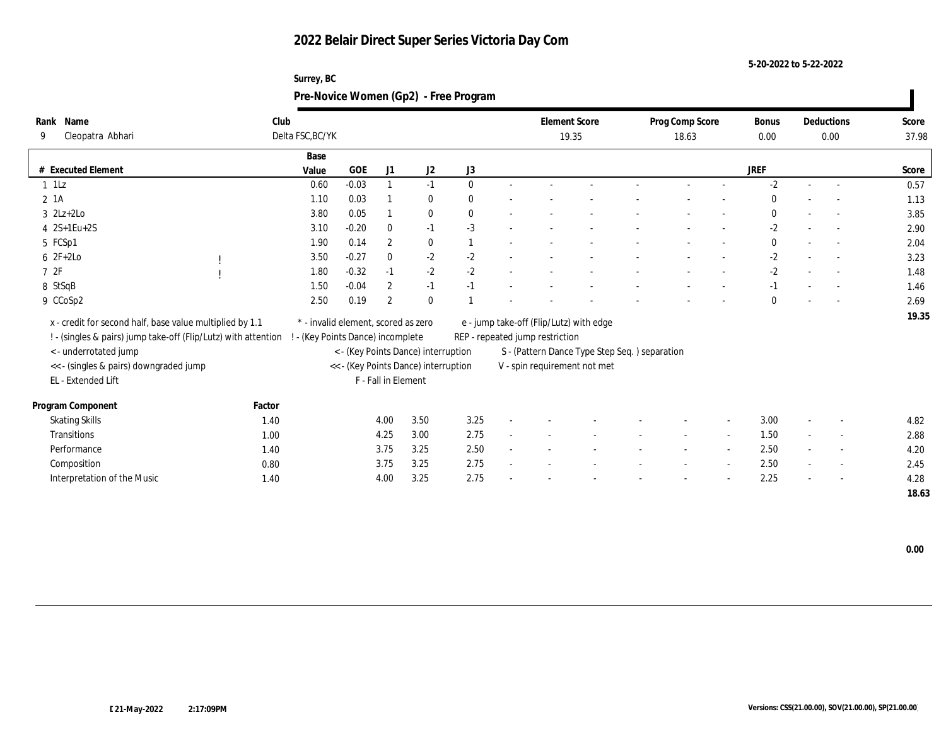**5-20-2022 to 5-22-2022**

| Rank Name                                                      |        | Club                            |                                     |                     |                                                                             |              | <b>Element Score</b> |                                 | Prog Comp Score                               |  | <b>Bonus</b>             | Deductions   | Score                    |       |
|----------------------------------------------------------------|--------|---------------------------------|-------------------------------------|---------------------|-----------------------------------------------------------------------------|--------------|----------------------|---------------------------------|-----------------------------------------------|--|--------------------------|--------------|--------------------------|-------|
| Cleopatra Abhari<br>9                                          |        | Delta FSC, BC/YK                |                                     |                     |                                                                             |              |                      | 19.35                           | 18.63                                         |  | $0.00\,$                 | 0.00         | 37.98                    |       |
|                                                                |        | Base                            |                                     |                     |                                                                             |              |                      |                                 |                                               |  |                          |              |                          |       |
| # Executed Element                                             |        | Value                           | GOE                                 | J1                  | J2                                                                          | ${\rm J}3$   |                      |                                 |                                               |  |                          | JREF         |                          | Score |
| $1$ 1Lz                                                        |        | 0.60                            | $-0.03$                             |                     | $-1$                                                                        | $\mathbf{0}$ |                      |                                 |                                               |  |                          | $-2$         | $\sim$                   | 0.57  |
| $2 \; 1A$                                                      |        | 1.10                            | 0.03                                |                     | $\bf{0}$                                                                    | $\mathbf{0}$ |                      |                                 |                                               |  |                          | $\mathbf{0}$ |                          | 1.13  |
| $3$ $2Lz+2Lo$                                                  |        | 3.80                            | 0.05                                |                     | $\bf{0}$                                                                    | $\mathbf{0}$ |                      |                                 |                                               |  |                          | $\mathbf{0}$ | $\overline{\phantom{a}}$ | 3.85  |
| $4 \ 2S+1Eu+2S$                                                |        | 3.10                            | $-0.20$                             | $\mathbf{0}$        | $-1$                                                                        | $-3$         |                      |                                 |                                               |  |                          | $-2$         |                          | 2.90  |
| 5 FCSp1                                                        |        | 1.90                            | 0.14                                | $\overline{2}$      | $\bf{0}$                                                                    |              |                      |                                 |                                               |  |                          | $\mathbf{0}$ | $\sim$                   | 2.04  |
| $6 2F+2Lo$                                                     |        | 3.50                            | $-0.27$                             | $\bf{0}$            | $-2$                                                                        | $-2$         |                      |                                 |                                               |  |                          | $-2$         |                          | 3.23  |
| 72F                                                            |        | 1.80                            | $-0.32$                             | $-1$                | $-2$                                                                        | $-2$         |                      |                                 |                                               |  |                          | $-2$         |                          | 1.48  |
| 8 StSqB                                                        |        | 1.50                            | $-0.04$                             | $\overline{2}$      | $-1$                                                                        | $-1$         |                      |                                 |                                               |  |                          | $-1$         |                          | 1.46  |
| 9 CCoSp2                                                       |        | 2.50                            | 0.19                                | $\overline{2}$      | $\mathbf{0}$                                                                |              |                      |                                 |                                               |  |                          | $\mathbf{0}$ | $\sim$                   | 2.69  |
|                                                                |        |                                 | * - invalid element, scored as zero |                     |                                                                             |              |                      |                                 |                                               |  |                          |              |                          | 19.35 |
| x - credit for second half, base value multiplied by 1.1       |        |                                 |                                     |                     |                                                                             |              |                      |                                 | e - jump take-off (Flip/Lutz) with edge       |  |                          |              |                          |       |
| ! - (singles & pairs) jump take-off (Flip/Lutz) with attention |        | - (Key Points Dance) incomplete |                                     |                     |                                                                             |              |                      | REP - repeated jump restriction |                                               |  |                          |              |                          |       |
| < - underrotated jump                                          |        |                                 |                                     |                     | < - (Key Points Dance) interruption<br><< - (Key Points Dance) interruption |              |                      |                                 | S - (Pattern Dance Type Step Seq.) separation |  |                          |              |                          |       |
| << - (singles & pairs) downgraded jump<br>EL - Extended Lift   |        |                                 |                                     | F - Fall in Element |                                                                             |              |                      |                                 | V - spin requirement not met                  |  |                          |              |                          |       |
|                                                                |        |                                 |                                     |                     |                                                                             |              |                      |                                 |                                               |  |                          |              |                          |       |
| Program Component                                              | Factor |                                 |                                     |                     |                                                                             |              |                      |                                 |                                               |  |                          |              |                          |       |
| <b>Skating Skills</b>                                          | 1.40   |                                 |                                     | 4.00                | 3.50                                                                        | 3.25         |                      |                                 |                                               |  | $\overline{\phantom{a}}$ | 3.00         | $\overline{\phantom{a}}$ | 4.82  |
| Transitions                                                    | 1.00   |                                 |                                     | 4.25                | 3.00                                                                        | 2.75         |                      |                                 |                                               |  |                          | 1.50         | $\overline{\phantom{a}}$ | 2.88  |
| Performance                                                    | 1.40   |                                 |                                     | 3.75                | 3.25                                                                        | 2.50         |                      |                                 |                                               |  |                          | 2.50         | $\overline{\phantom{a}}$ | 4.20  |
| Composition                                                    | 0.80   |                                 |                                     | 3.75                | 3.25                                                                        | 2.75         |                      |                                 |                                               |  | $\overline{\phantom{a}}$ | 2.50         | $\sim$                   | 2.45  |
| Interpretation of the Music                                    | 1.40   |                                 |                                     | 4.00                | 3.25                                                                        | 2.75         |                      |                                 |                                               |  |                          | 2.25         | $\overline{\phantom{a}}$ | 4.28  |
|                                                                |        |                                 |                                     |                     |                                                                             |              |                      |                                 |                                               |  |                          |              |                          | 18.63 |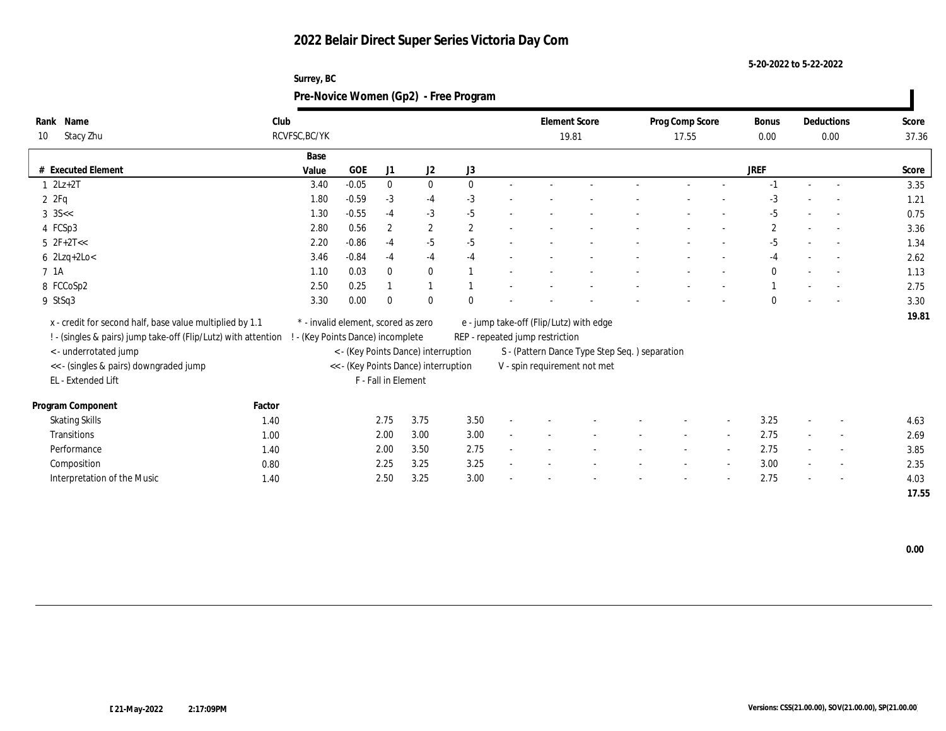**5-20-2022 to 5-22-2022**

| Surrey, BC                            |
|---------------------------------------|
| Pre-Novice Women (Gp2) - Free Program |

| Rank Name<br>Stacy Zhu<br>10                                   | Club   | RCVFSC, BC/YK                       |            |                     |                                      |              | <b>Element Score</b><br>19.81   | Prog Comp Score<br>17.55                      | Bonus<br>0.00 |              | Deductions<br>0.00       | Score<br>37.36 |       |
|----------------------------------------------------------------|--------|-------------------------------------|------------|---------------------|--------------------------------------|--------------|---------------------------------|-----------------------------------------------|---------------|--------------|--------------------------|----------------|-------|
|                                                                |        | Base                                |            |                     |                                      |              |                                 |                                               |               |              |                          |                |       |
| # Executed Element                                             |        | Value                               | <b>GOE</b> | J1                  | J2                                   | J3           |                                 |                                               |               | <b>JREF</b>  |                          |                | Score |
| $2Lz+2T$                                                       |        | 3.40                                | $-0.05$    | $\mathbf{0}$        | $\bf{0}$                             | $\mathbf{0}$ |                                 |                                               |               | $-1$         |                          | $\sim$         | 3.35  |
| 2ZFq                                                           |        | 1.80                                | $-0.59$    | $-3$                | $-4$                                 | $-3$         |                                 |                                               |               | $-3$         |                          |                | 1.21  |
| $3 \text{ } 35 < $                                             |        | 1.30                                | $-0.55$    | $-4$                | $-3$                                 | $-5$         |                                 |                                               |               | $-5$         |                          |                | 0.75  |
| 4 FCSp3                                                        |        | 2.80                                | 0.56       | $\boldsymbol{2}$    | $\boldsymbol{2}$                     | $\mathbf{2}$ |                                 |                                               |               | $\mathbf{2}$ |                          |                | 3.36  |
| $5 \text{ } 2F + 2T <<$                                        |        | 2.20                                | $-0.86$    | $-4$                | $-5$                                 | $-5$         |                                 |                                               |               | $-5$         |                          |                | 1.34  |
| $6$ 2Lzq+2Lo<                                                  |        | 3.46                                | $-0.84$    | $-4$                | $-4$                                 | $-4$         |                                 |                                               |               | $-4$         |                          |                | 2.62  |
| 7 1A                                                           |        | 1.10                                | 0.03       | $\mathbf{0}$        | $\bf{0}$                             |              |                                 |                                               |               | $\mathbf{0}$ |                          |                | 1.13  |
| 8 FCCoSp2                                                      |        | 2.50                                | 0.25       |                     |                                      |              |                                 |                                               |               |              |                          |                | 2.75  |
| 9 StSq3                                                        |        | 3.30                                | 0.00       | $\Omega$            | $\bf{0}$                             |              |                                 |                                               |               | $\mathbf{0}$ |                          |                | 3.30  |
| x - credit for second half, base value multiplied by 1.1       |        | * - invalid element, scored as zero |            |                     |                                      |              |                                 | e - jump take-off (Flip/Lutz) with edge       |               |              |                          |                | 19.81 |
| ! - (singles & pairs) jump take-off (Flip/Lutz) with attention |        | - (Key Points Dance) incomplete     |            |                     |                                      |              | REP - repeated jump restriction |                                               |               |              |                          |                |       |
| < - underrotated jump                                          |        |                                     |            |                     | < - (Key Points Dance) interruption  |              |                                 | S - (Pattern Dance Type Step Seq.) separation |               |              |                          |                |       |
| << - (singles & pairs) downgraded jump                         |        |                                     |            |                     | << - (Key Points Dance) interruption |              |                                 | V - spin requirement not met                  |               |              |                          |                |       |
| EL - Extended Lift                                             |        |                                     |            | F - Fall in Element |                                      |              |                                 |                                               |               |              |                          |                |       |
|                                                                |        |                                     |            |                     |                                      |              |                                 |                                               |               |              |                          |                |       |
| <b>Program Component</b>                                       | Factor |                                     |            |                     |                                      |              |                                 |                                               |               |              |                          |                |       |
| <b>Skating Skills</b>                                          | 1.40   |                                     |            | 2.75                | 3.75                                 | 3.50         |                                 |                                               |               | 3.25         |                          | $\sim$         | 4.63  |
| Transitions                                                    | 1.00   |                                     |            | 2.00                | 3.00                                 | 3.00         |                                 |                                               |               | 2.75         |                          | $\sim$         | 2.69  |
| Performance                                                    | 1.40   |                                     |            | 2.00                | 3.50                                 | 2.75         |                                 |                                               |               | 2.75         |                          | $\sim$         | 3.85  |
| Composition                                                    | 0.80   |                                     |            | 2.25                | 3.25                                 | 3.25         |                                 |                                               |               | 3.00         | $\overline{\phantom{a}}$ | $\sim$         | 2.35  |
| Interpretation of the Music                                    | 1.40   |                                     |            | 2.50                | 3.25                                 | 3.00         |                                 |                                               |               | 2.75         |                          |                | 4.03  |
|                                                                |        |                                     |            |                     |                                      |              |                                 |                                               |               |              |                          |                | 17.55 |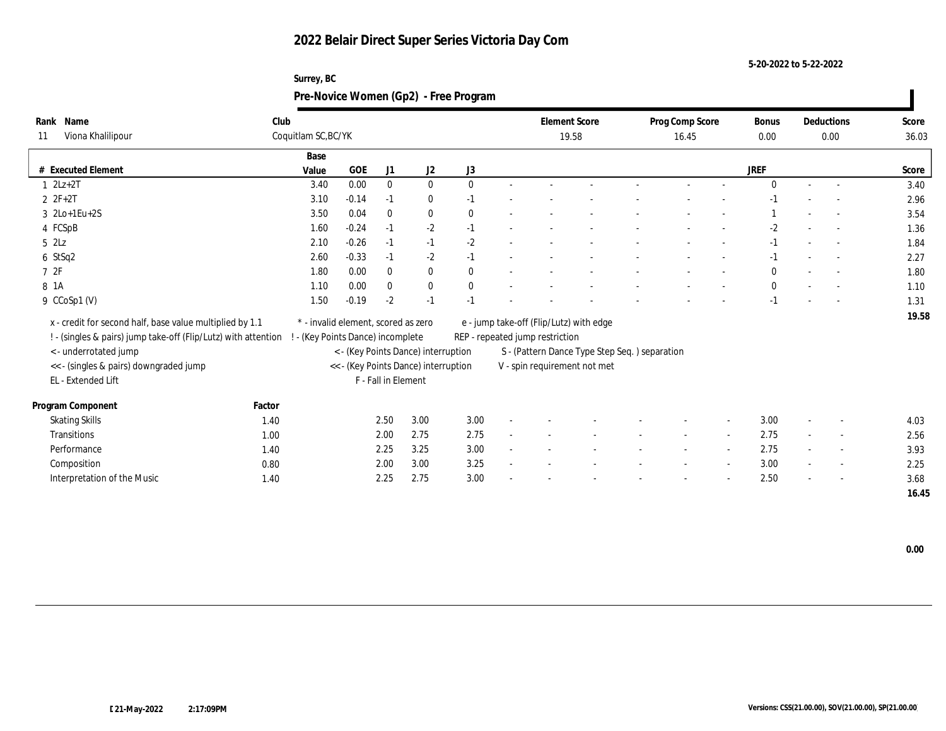**5-20-2022 to 5-22-2022**

#### **Surrey, BC Pre-Novice Women (Gp2) - Free Program**

| Name<br>Rank                                                   | Club   |                                     |         |                     |                                      |              | <b>Element Score</b>            |                                                | Prog Comp Score |       |                          | Bonus        | Deductions               | Score |
|----------------------------------------------------------------|--------|-------------------------------------|---------|---------------------|--------------------------------------|--------------|---------------------------------|------------------------------------------------|-----------------|-------|--------------------------|--------------|--------------------------|-------|
| Viona Khalilipour<br>11                                        |        | Coquitlam SC, BC/YK                 |         |                     |                                      |              |                                 | 19.58                                          |                 | 16.45 |                          | 0.00         | 0.00                     | 36.03 |
|                                                                |        | Base                                |         |                     |                                      |              |                                 |                                                |                 |       |                          |              |                          |       |
| # Executed Element                                             |        | Value                               | GOE     | J1                  | J2                                   | J3           |                                 |                                                |                 |       |                          | <b>JREF</b>  |                          | Score |
| $1 \quad 2Lz+2T$                                               |        | 3.40                                | 0.00    | $\mathbf{0}$        | $\bf{0}$                             | $\mathbf{0}$ |                                 |                                                |                 |       |                          | $\Omega$     | $\overline{a}$           | 3.40  |
| $2ZF+2T$                                                       |        | 3.10                                | $-0.14$ | $-1$                | $\bf{0}$                             | $-1$         |                                 |                                                |                 |       |                          | -1           |                          | 2.96  |
| 3 2Lo+1Eu+2S                                                   |        | 3.50                                | 0.04    | $\mathbf{0}$        | $\bf{0}$                             | $\mathbf{0}$ |                                 |                                                |                 |       |                          |              |                          | 3.54  |
| 4 FCSpB                                                        |        | 1.60                                | $-0.24$ | $-1$                | $-2$                                 | $-1$         |                                 |                                                |                 |       |                          | $-2$         |                          | 1.36  |
| $5$ $2\text{L}z$                                               |        | 2.10                                | $-0.26$ | $-1$                | $-1$                                 | $-2$         |                                 |                                                |                 |       |                          | $-1$         | $\overline{\phantom{a}}$ | 1.84  |
| 6 StSq2                                                        |        | 2.60                                | $-0.33$ | $-1$                | $-2$                                 | $-1$         |                                 |                                                |                 |       |                          | $-1$         | $\sim$                   | 2.27  |
| 72F                                                            |        | 1.80                                | 0.00    | $\bf{0}$            | $\bf{0}$                             | $\mathbf{0}$ |                                 |                                                |                 |       |                          | $\mathbf{0}$ |                          | 1.80  |
| 8 1A                                                           |        | 1.10                                | 0.00    | $\mathbf{0}$        | $\bf{0}$                             | $\mathbf{0}$ |                                 |                                                |                 |       |                          | $\mathbf{0}$ |                          | 1.10  |
| 9 CCoSp1 (V)                                                   |        | 1.50                                | $-0.19$ | $-2$                | $-1$                                 | $-1$         |                                 |                                                |                 |       |                          | $-1$         |                          | 1.31  |
| x - credit for second half, base value multiplied by 1.1       |        | * - invalid element, scored as zero |         |                     |                                      |              |                                 | e - jump take-off (Flip/Lutz) with edge        |                 |       |                          |              |                          | 19.58 |
| ! - (singles & pairs) jump take-off (Flip/Lutz) with attention |        | - (Key Points Dance) incomplete     |         |                     |                                      |              | REP - repeated jump restriction |                                                |                 |       |                          |              |                          |       |
| < - underrotated jump                                          |        |                                     |         |                     | < - (Key Points Dance) interruption  |              |                                 | S - (Pattern Dance Type Step Seq. ) separation |                 |       |                          |              |                          |       |
| << - (singles & pairs) downgraded jump                         |        |                                     |         |                     | << - (Key Points Dance) interruption |              |                                 | V - spin requirement not met                   |                 |       |                          |              |                          |       |
| EL - Extended Lift                                             |        |                                     |         | F - Fall in Element |                                      |              |                                 |                                                |                 |       |                          |              |                          |       |
|                                                                |        |                                     |         |                     |                                      |              |                                 |                                                |                 |       |                          |              |                          |       |
| Program Component                                              | Factor |                                     |         |                     |                                      |              |                                 |                                                |                 |       |                          |              |                          |       |
| <b>Skating Skills</b>                                          | 1.40   |                                     |         | 2.50                | 3.00                                 | 3.00         |                                 |                                                |                 |       | $\overline{\phantom{a}}$ | 3.00         | $\overline{\phantom{a}}$ | 4.03  |
| Transitions                                                    | 1.00   |                                     |         | 2.00                | 2.75                                 | 2.75         |                                 |                                                |                 |       |                          | 2.75         | $\overline{\phantom{a}}$ | 2.56  |
| Performance                                                    | 1.40   |                                     |         | 2.25                | 3.25                                 | 3.00         |                                 |                                                |                 |       |                          | 2.75         | $\overline{\phantom{a}}$ | 3.93  |
| Composition                                                    | 0.80   |                                     |         | 2.00                | 3.00                                 | 3.25         |                                 |                                                |                 |       |                          | 3.00         | $\sim$                   | 2.25  |
| Interpretation of the Music                                    | 1.40   |                                     |         | 2.25                | 2.75                                 | 3.00         |                                 |                                                |                 |       |                          | 2.50         |                          | 3.68  |
|                                                                |        |                                     |         |                     |                                      |              |                                 |                                                |                 |       |                          |              |                          | 16.45 |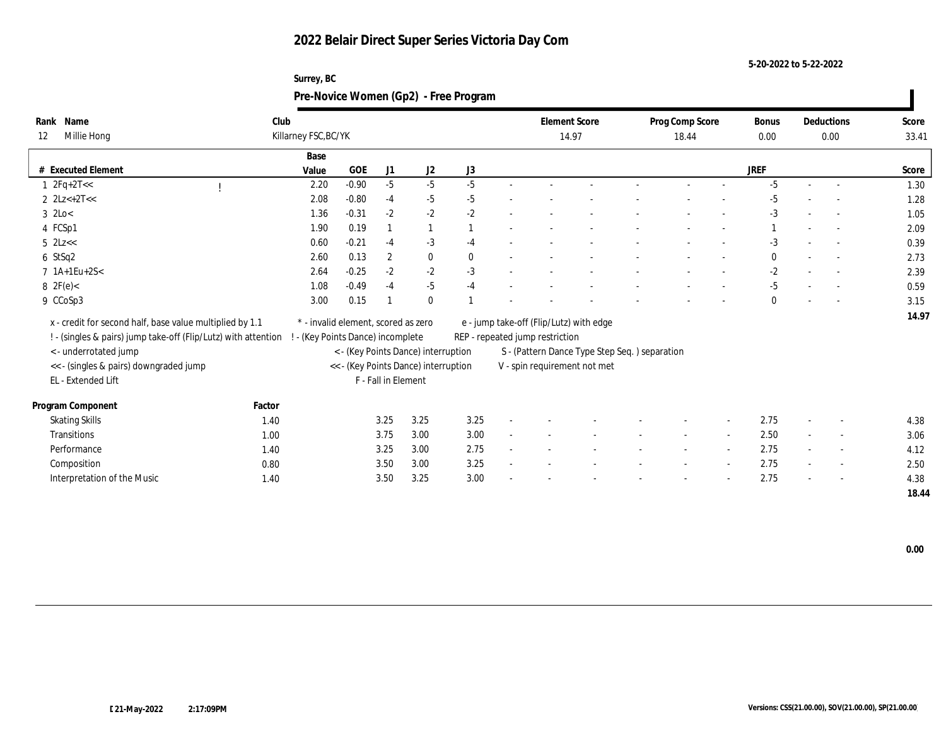**5-20-2022 to 5-22-2022**

| Name<br>Rank                                                   | Club   |                                 |                                     |                     |                                      |          |                                 | <b>Element Score</b>                          | Prog Comp Score |                          | Bonus        | Deductions               | Score |
|----------------------------------------------------------------|--------|---------------------------------|-------------------------------------|---------------------|--------------------------------------|----------|---------------------------------|-----------------------------------------------|-----------------|--------------------------|--------------|--------------------------|-------|
| Millie Hong<br>12                                              |        | Killarney FSC, BC/YK            |                                     |                     |                                      |          |                                 | 14.97                                         | 18.44           |                          | $0.00\,$     | 0.00                     | 33.41 |
|                                                                |        | Base                            |                                     |                     |                                      |          |                                 |                                               |                 |                          |              |                          |       |
| # Executed Element                                             |        | Value                           | GOE                                 | J1                  | J2                                   | J3       |                                 |                                               |                 |                          | <b>JREF</b>  |                          | Score |
| $1 \text{ } 2Fq + 2T <<$                                       |        | 2.20                            | $-0.90$                             | $-5$                | $-5$                                 | $-5$     |                                 |                                               |                 |                          | $-5$         | $\sim$                   | 1.30  |
| 2 $2Lz+2T<<$                                                   |        | 2.08                            | $-0.80$                             | $-4$                | $-5$                                 | $-5$     |                                 |                                               |                 |                          | $-5$         |                          | 1.28  |
| $3$ 2Lo $<$                                                    |        | 1.36                            | $-0.31$                             | $-2$                | $-2$                                 | $-2$     |                                 |                                               |                 |                          | $-3$         |                          | 1.05  |
| 4 FCSp1                                                        |        | 1.90                            | 0.19                                |                     | $\mathbf{1}$                         |          |                                 |                                               |                 |                          |              | $\overline{\phantom{a}}$ | 2.09  |
| $5$ 2Lz $<<$                                                   |        | 0.60                            | $-0.21$                             | $-4$                | $-3$                                 | $-4$     |                                 |                                               |                 |                          | $-3$         | $\overline{\phantom{a}}$ | 0.39  |
| $6$ StSq2                                                      |        | 2.60                            | 0.13                                | $\boldsymbol{2}$    | $\bf{0}$                             | $\bf{0}$ |                                 |                                               |                 |                          | $\mathbf{0}$ | $\sim$                   | 2.73  |
| 7 1A+1Eu+2S<                                                   |        | 2.64                            | $-0.25$                             | $-2$                | $-2$                                 | $-3$     |                                 |                                               |                 |                          | $-2$         |                          | 2.39  |
| 8 $2F(e) <$                                                    |        | 1.08                            | $-0.49$                             | $-4$                | $-5$                                 | $-4$     |                                 |                                               |                 |                          | $-5$         |                          | 0.59  |
| 9 CCoSp3                                                       |        | 3.00                            | 0.15                                |                     | $\mathbf{0}$                         |          |                                 |                                               |                 |                          | $\mathbf{0}$ |                          | 3.15  |
|                                                                |        |                                 | * - invalid element, scored as zero |                     |                                      |          |                                 |                                               |                 |                          |              |                          | 14.97 |
| x - credit for second half, base value multiplied by 1.1       |        |                                 |                                     |                     |                                      |          |                                 | e - jump take-off (Flip/Lutz) with edge       |                 |                          |              |                          |       |
| ! - (singles & pairs) jump take-off (Flip/Lutz) with attention |        | - (Key Points Dance) incomplete |                                     |                     |                                      |          | REP - repeated jump restriction |                                               |                 |                          |              |                          |       |
| < - underrotated jump                                          |        |                                 |                                     |                     | < - (Key Points Dance) interruption  |          |                                 | S - (Pattern Dance Type Step Seq.) separation |                 |                          |              |                          |       |
| << - (singles & pairs) downgraded jump                         |        |                                 |                                     |                     | << - (Key Points Dance) interruption |          |                                 | V - spin requirement not met                  |                 |                          |              |                          |       |
| EL - Extended Lift                                             |        |                                 |                                     | F - Fall in Element |                                      |          |                                 |                                               |                 |                          |              |                          |       |
| Program Component                                              | Factor |                                 |                                     |                     |                                      |          |                                 |                                               |                 |                          |              |                          |       |
| <b>Skating Skills</b>                                          | 1.40   |                                 |                                     | 3.25                | 3.25                                 | 3.25     |                                 |                                               |                 | $\overline{\phantom{a}}$ | 2.75         | $\overline{\phantom{a}}$ | 4.38  |
| Transitions                                                    | 1.00   |                                 |                                     | 3.75                | 3.00                                 | 3.00     |                                 |                                               |                 |                          | 2.50         | $\overline{\phantom{a}}$ | 3.06  |
| Performance                                                    | 1.40   |                                 |                                     | 3.25                | 3.00                                 | 2.75     |                                 |                                               |                 |                          | 2.75         | $\overline{\phantom{a}}$ | 4.12  |
| Composition                                                    | 0.80   |                                 |                                     | 3.50                | 3.00                                 | 3.25     |                                 |                                               |                 |                          | 2.75         | $\sim$                   | 2.50  |
| Interpretation of the Music                                    | 1.40   |                                 |                                     | 3.50                | 3.25                                 | 3.00     |                                 |                                               |                 |                          | 2.75         | $\overline{\phantom{a}}$ | 4.38  |
|                                                                |        |                                 |                                     |                     |                                      |          |                                 |                                               |                 |                          |              |                          | 18.44 |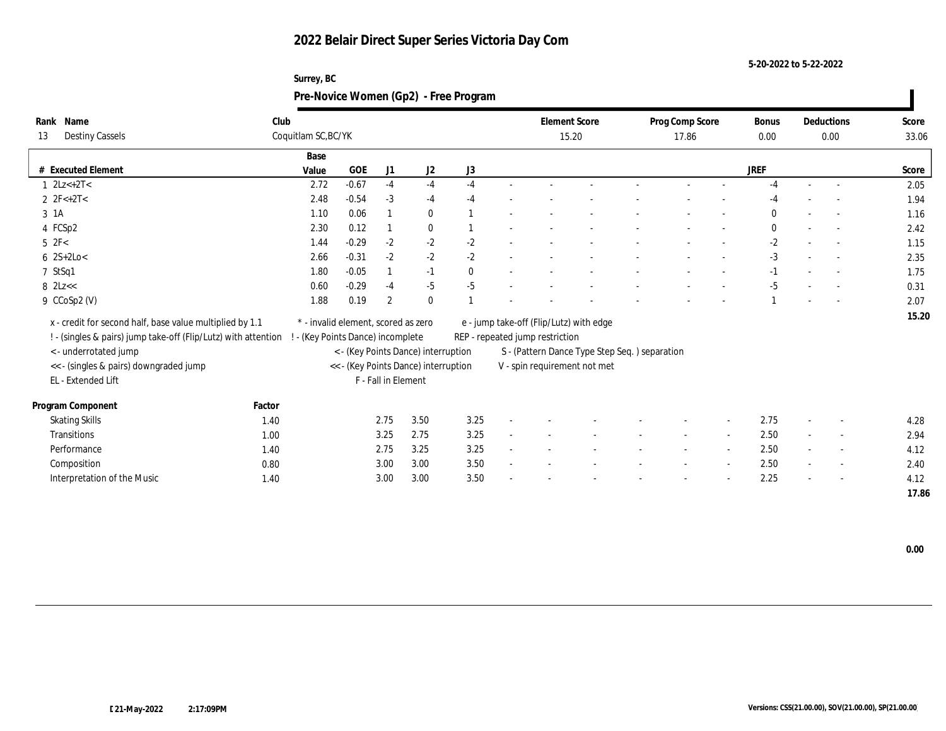**5-20-2022 to 5-22-2022**

#### **Surrey, BC Pre-Novice Women (Gp2) - Free Program**

| Deductions<br>Score<br>33.06     |
|----------------------------------|
| 0.00                             |
|                                  |
| Score                            |
| 2.05<br>$\overline{a}$           |
| 1.94                             |
| 1.16                             |
| 2.42                             |
| 1.15<br>$\overline{\phantom{a}}$ |
| 2.35<br>$\sim$                   |
| 1.75                             |
| 0.31                             |
| 2.07                             |
| 15.20                            |
|                                  |
|                                  |
|                                  |
|                                  |
|                                  |
|                                  |
| 4.28<br>$\overline{\phantom{a}}$ |
| 2.94<br>$\sim$                   |
| 4.12<br>$\overline{\phantom{a}}$ |
| 2.40<br>$\sim$                   |
|                                  |
| 4.12<br>$\overline{\phantom{a}}$ |
|                                  |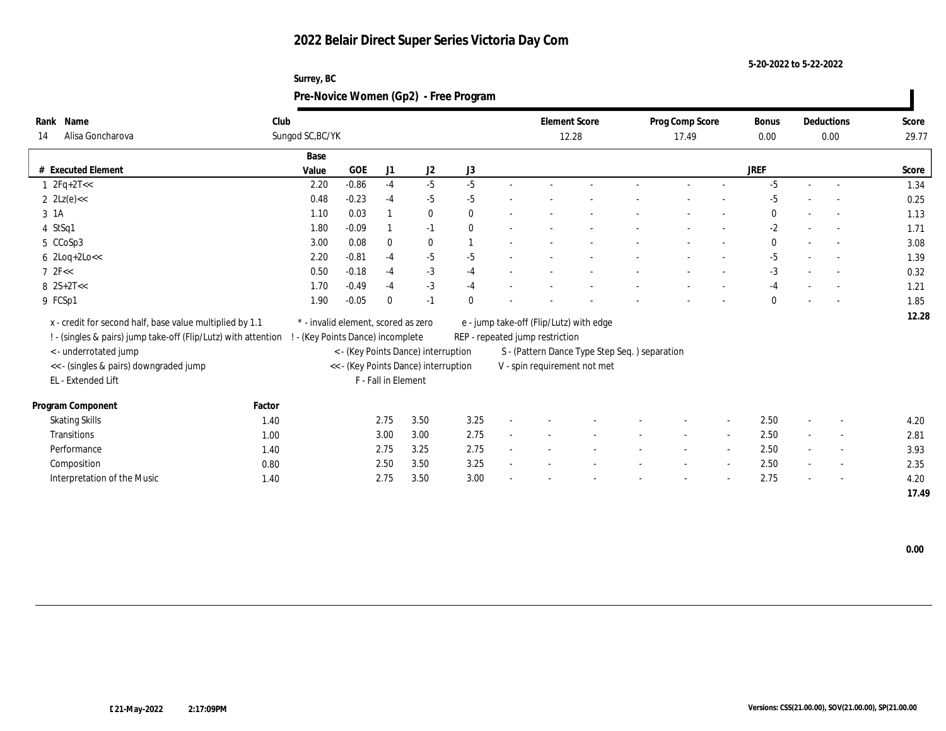**5-20-2022 to 5-22-2022**

#### **Surrey, BC Pre-Novice Women (Gp2) - Free Program**

| Name<br>Rank                                                   | Club   |                                 |                                     |                     |                                      |              |                                 | <b>Element Score</b>                           | Prog Comp Score |                          | Bonus        | Deductions               | Score |
|----------------------------------------------------------------|--------|---------------------------------|-------------------------------------|---------------------|--------------------------------------|--------------|---------------------------------|------------------------------------------------|-----------------|--------------------------|--------------|--------------------------|-------|
| Alisa Goncharova<br>14                                         |        | Sungod SC, BC/YK                |                                     |                     |                                      |              |                                 | 12.28                                          | 17.49           |                          | 0.00         | 0.00                     | 29.77 |
|                                                                |        | Base                            |                                     |                     |                                      |              |                                 |                                                |                 |                          |              |                          |       |
| # Executed Element                                             |        | Value                           | GOE                                 | J1                  | J2                                   | J3           |                                 |                                                |                 |                          | <b>JREF</b>  |                          | Score |
| $1 \text{ } 2Fq + 2T <<$                                       |        | 2.20                            | $-0.86$                             | $-4$                | $-5$                                 | $-5$         |                                 |                                                |                 |                          | -5           | $\sim$                   | 1.34  |
| $2 \text{ } 2 \text{Lz}(e) <$                                  |        | 0.48                            | $-0.23$                             | $-4$                | $-5$                                 | $-5$         |                                 |                                                |                 |                          | $-5$         |                          | 0.25  |
| 3 1A                                                           |        | 1.10                            | 0.03                                |                     | $\bf{0}$                             | $\theta$     |                                 |                                                |                 |                          | $\mathbf{0}$ |                          | 1.13  |
| 4 StSq1                                                        |        | 1.80                            | $-0.09$                             |                     | $-1$                                 | $\mathbf{0}$ |                                 |                                                |                 |                          | $-2$         |                          | 1.71  |
| 5 CCoSp3                                                       |        | 3.00                            | 0.08                                | $\bf{0}$            | $\bf{0}$                             |              |                                 |                                                |                 |                          | $\bf{0}$     | $\overline{\phantom{a}}$ | 3.08  |
| $6$ 2Loq+2Lo $<<$                                              |        | 2.20                            | $-0.81$                             | $-4$                | $-5$                                 | $-5$         |                                 |                                                |                 |                          | $-5$         | $\sim$                   | 1.39  |
| $7 \text{ } 2F <$                                              |        | 0.50                            | $-0.18$                             | $-4$                | $-3$                                 | $-4$         |                                 |                                                |                 |                          | $-3$         |                          | 0.32  |
| $8 \text{ } 2S+2T<<$                                           |        | 1.70                            | $-0.49$                             | $-4$                | $-3$                                 | $-4$         |                                 |                                                |                 |                          | $-4$         |                          | 1.21  |
| 9 FCSp1                                                        |        | 1.90                            | $-0.05$                             | $\theta$            | $-1$                                 | $\Omega$     |                                 |                                                |                 |                          | $\mathbf{0}$ |                          | 1.85  |
| x - credit for second half, base value multiplied by 1.1       |        |                                 | * - invalid element, scored as zero |                     |                                      |              |                                 | e - jump take-off (Flip/Lutz) with edge        |                 |                          |              |                          | 12.28 |
| ! - (singles & pairs) jump take-off (Flip/Lutz) with attention |        | - (Key Points Dance) incomplete |                                     |                     |                                      |              | REP - repeated jump restriction |                                                |                 |                          |              |                          |       |
| < - underrotated jump                                          |        |                                 |                                     |                     | < - (Key Points Dance) interruption  |              |                                 | S - (Pattern Dance Type Step Seq. ) separation |                 |                          |              |                          |       |
| << - (singles & pairs) downgraded jump                         |        |                                 |                                     |                     | << - (Key Points Dance) interruption |              |                                 | V - spin requirement not met                   |                 |                          |              |                          |       |
| EL - Extended Lift                                             |        |                                 |                                     | F - Fall in Element |                                      |              |                                 |                                                |                 |                          |              |                          |       |
|                                                                |        |                                 |                                     |                     |                                      |              |                                 |                                                |                 |                          |              |                          |       |
| Program Component                                              | Factor |                                 |                                     |                     |                                      |              |                                 |                                                |                 |                          |              |                          |       |
| <b>Skating Skills</b>                                          | 1.40   |                                 |                                     | 2.75                | 3.50                                 | 3.25         |                                 |                                                |                 | $\overline{\phantom{a}}$ | 2.50         | $\sim$                   | 4.20  |
| Transitions                                                    | 1.00   |                                 |                                     | 3.00                | 3.00                                 | 2.75         |                                 |                                                |                 |                          | 2.50         | $\overline{\phantom{a}}$ | 2.81  |
| Performance                                                    | 1.40   |                                 |                                     | 2.75                | 3.25                                 | 2.75         |                                 |                                                |                 |                          | 2.50         | $\overline{\phantom{a}}$ | 3.93  |
| Composition                                                    | 0.80   |                                 |                                     | 2.50                | 3.50                                 | 3.25         |                                 |                                                |                 |                          | 2.50         | $\sim$                   | 2.35  |
| Interpretation of the Music                                    | 1.40   |                                 |                                     | 2.75                | 3.50                                 | 3.00         |                                 |                                                |                 |                          | 2.75         | $\overline{\phantom{a}}$ | 4.20  |
|                                                                |        |                                 |                                     |                     |                                      |              |                                 |                                                |                 |                          |              |                          | 17.49 |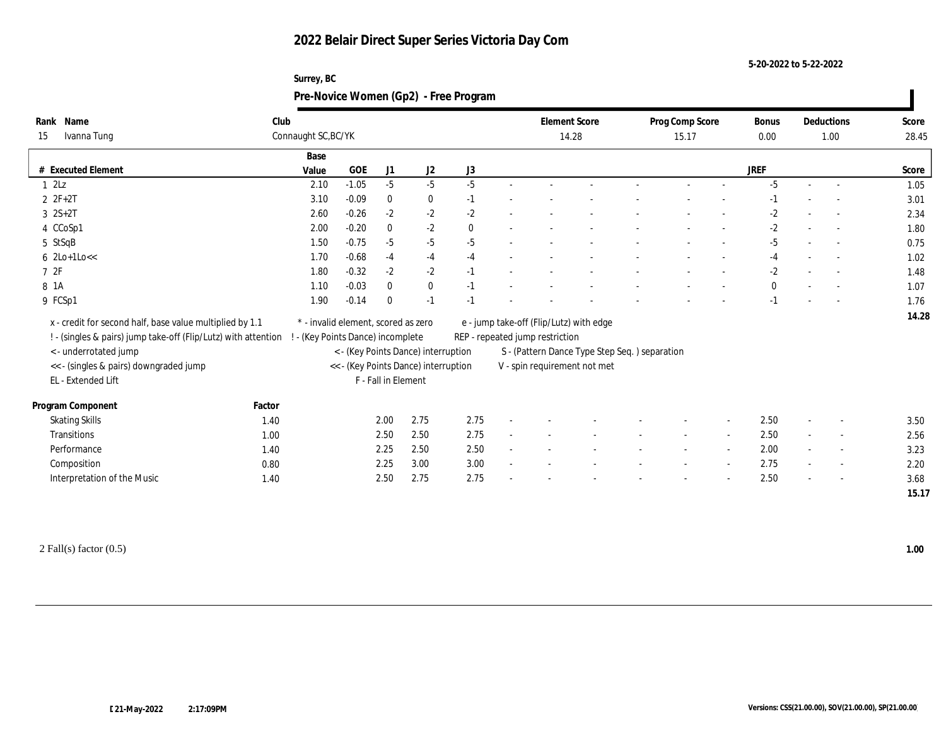| Surrey, BC                            |
|---------------------------------------|
| Pre-Novice Women (Gp2) - Free Program |

| Rank Name<br>Ivanna Tung<br>15                                 |        | Club<br>Connaught SC, BC/YK         |            |                     |                                      |          |                                 | <b>Element Score</b><br>14.28                 | Prog Comp Score<br>15.17 | <b>Bonus</b><br>0.00 |                          | Deductions<br>1.00       | Score<br>28.45 |
|----------------------------------------------------------------|--------|-------------------------------------|------------|---------------------|--------------------------------------|----------|---------------------------------|-----------------------------------------------|--------------------------|----------------------|--------------------------|--------------------------|----------------|
|                                                                |        | Base                                |            |                     |                                      |          |                                 |                                               |                          |                      |                          |                          |                |
| # Executed Element                                             |        | Value                               | <b>GOE</b> | J1                  | J <sub>2</sub>                       | J3       |                                 |                                               |                          | JREF                 |                          |                          | Score          |
| $1 \t2Lz$                                                      |        | 2.10                                | $-1.05$    | $-5$                | $-5$                                 | $-5$     |                                 |                                               |                          | $-5$                 |                          |                          | 1.05           |
| $2ZF+2T$                                                       |        | 3.10                                | $-0.09$    | $\mathbf{0}$        | $\bf{0}$                             | $-1$     |                                 |                                               |                          | $-1$                 |                          |                          | 3.01           |
| $3 \t2S+2T$                                                    |        | 2.60                                | $-0.26$    | $-2$                | $-2$                                 | $-2$     |                                 |                                               |                          | $-2$                 |                          |                          | 2.34           |
| 4 CCoSp1                                                       |        | 2.00                                | $-0.20$    | $\mathbf{0}$        | $-2$                                 | $\theta$ |                                 |                                               |                          | -2                   |                          |                          | 1.80           |
| 5 StSqB                                                        |        | 1.50                                | $-0.75$    | $-5$                | $-5$                                 | $-5$     |                                 |                                               |                          | $-5$                 |                          | $\sim$                   | 0.75           |
| $6$ 2Lo+1Lo $<<$                                               |        | 1.70                                | $-0.68$    | $-4$                | $-4$                                 | $-4$     |                                 |                                               |                          | -4                   |                          |                          | 1.02           |
| 72F                                                            |        | 1.80                                | $-0.32$    | $-2$                | $-2$                                 | $-1$     |                                 |                                               |                          | $-2$                 |                          |                          | 1.48           |
| 8 1A                                                           |        | 1.10                                | $-0.03$    | $\mathbf{0}$        | $\bf{0}$                             | $-1$     |                                 |                                               |                          | $\bf{0}$             | $\overline{\phantom{a}}$ |                          | 1.07           |
| 9 FCSp1                                                        |        | 1.90                                | $-0.14$    | $\Omega$            | $-1$                                 | $-1$     |                                 |                                               |                          | $-1$                 |                          | $\sim$                   | 1.76           |
| x - credit for second half, base value multiplied by 1.1       |        | * - invalid element, scored as zero |            |                     |                                      |          |                                 | e - jump take-off (Flip/Lutz) with edge       |                          |                      |                          |                          | 14.28          |
| ! - (singles & pairs) jump take-off (Flip/Lutz) with attention |        | - (Key Points Dance) incomplete     |            |                     |                                      |          | REP - repeated jump restriction |                                               |                          |                      |                          |                          |                |
| <- underrotated jump                                           |        |                                     |            |                     | < - (Key Points Dance) interruption  |          |                                 | S - (Pattern Dance Type Step Seq.) separation |                          |                      |                          |                          |                |
| << - (singles & pairs) downgraded jump                         |        |                                     |            |                     | << - (Key Points Dance) interruption |          |                                 | V - spin requirement not met                  |                          |                      |                          |                          |                |
| EL - Extended Lift                                             |        |                                     |            | F - Fall in Element |                                      |          |                                 |                                               |                          |                      |                          |                          |                |
| Program Component                                              | Factor |                                     |            |                     |                                      |          |                                 |                                               |                          |                      |                          |                          |                |
| <b>Skating Skills</b>                                          | 1.40   |                                     |            | 2.00                | 2.75                                 | 2.75     |                                 |                                               |                          | 2.50                 |                          | $\overline{\phantom{a}}$ | 3.50           |
| Transitions                                                    | 1.00   |                                     |            | 2.50                | 2.50                                 | 2.75     |                                 |                                               |                          | 2.50                 |                          | $\overline{\phantom{a}}$ | 2.56           |
| Performance                                                    |        |                                     |            | 2.25                | 2.50                                 | 2.50     |                                 |                                               |                          | 2.00                 |                          | $\overline{\phantom{a}}$ |                |
|                                                                | 1.40   |                                     |            |                     | 3.00                                 |          |                                 |                                               |                          |                      |                          |                          | 3.23           |
| Composition                                                    | 0.80   |                                     |            | 2.25                |                                      | 3.00     |                                 |                                               |                          | 2.75                 | $\overline{\phantom{a}}$ | $\overline{\phantom{a}}$ | 2.20           |
| Interpretation of the Music                                    | 1.40   |                                     |            | 2.50                | 2.75                                 | 2.75     |                                 |                                               |                          | 2.50                 |                          |                          | 3.68           |
|                                                                |        |                                     |            |                     |                                      |          |                                 |                                               |                          |                      |                          |                          | 15.17          |